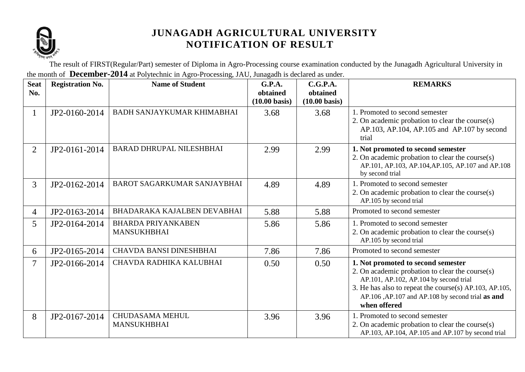

The result of FIRST(Regular/Part) semester of Diploma in Agro-Processing course examination conducted by the Junagadh Agricultural University in the month of **December-2014** at Polytechnic in Agro-Processing, JAU, Junagadh is declared as under.

| <b>Seat</b><br>No. | <b>Registration No.</b> | <b>Name of Student</b>                          | G.P.A.<br>obtained<br>$(10.00 \text{ basis})$ | C.G.P.A.<br>obtained<br>$(10.00 \text{ basis})$ | <b>REMARKS</b>                                                                                                                                                                                                                                                |
|--------------------|-------------------------|-------------------------------------------------|-----------------------------------------------|-------------------------------------------------|---------------------------------------------------------------------------------------------------------------------------------------------------------------------------------------------------------------------------------------------------------------|
| $\mathbf{1}$       | JP2-0160-2014           | <b>BADH SANJAYKUMAR KHIMABHAI</b>               | 3.68                                          | 3.68                                            | 1. Promoted to second semester<br>2. On academic probation to clear the course(s)<br>AP.103, AP.104, AP.105 and AP.107 by second<br>trial                                                                                                                     |
| $\overline{2}$     | JP2-0161-2014           | <b>BARAD DHRUPAL NILESHBHAI</b>                 | 2.99                                          | 2.99                                            | 1. Not promoted to second semester<br>2. On academic probation to clear the course(s)<br>AP.101, AP.103, AP.104, AP.105, AP.107 and AP.108<br>by second trial                                                                                                 |
| $\mathfrak{Z}$     | JP2-0162-2014           | <b>BAROT SAGARKUMAR SANJAYBHAI</b>              | 4.89                                          | 4.89                                            | 1. Promoted to second semester<br>2. On academic probation to clear the course(s)<br>AP.105 by second trial                                                                                                                                                   |
| $\overline{4}$     | JP2-0163-2014           | BHADARAKA KAJALBEN DEVABHAI                     | 5.88                                          | 5.88                                            | Promoted to second semester                                                                                                                                                                                                                                   |
| 5 <sup>5</sup>     | JP2-0164-2014           | <b>BHARDA PRIYANKABEN</b><br><b>MANSUKHBHAI</b> | 5.86                                          | 5.86                                            | 1. Promoted to second semester<br>2. On academic probation to clear the course(s)<br>AP.105 by second trial                                                                                                                                                   |
| 6                  | JP2-0165-2014           | <b>CHAVDA BANSI DINESHBHAI</b>                  | 7.86                                          | 7.86                                            | Promoted to second semester                                                                                                                                                                                                                                   |
| 7                  | JP2-0166-2014           | CHAVDA RADHIKA KALUBHAI                         | 0.50                                          | 0.50                                            | 1. Not promoted to second semester<br>2. On academic probation to clear the course(s)<br>AP.101, AP.102, AP.104 by second trial<br>3. He has also to repeat the course(s) AP.103, AP.105,<br>AP.106 ,AP.107 and AP.108 by second trial as and<br>when offered |
| 8                  | JP2-0167-2014           | <b>CHUDASAMA MEHUL</b><br><b>MANSUKHBHAI</b>    | 3.96                                          | 3.96                                            | 1. Promoted to second semester<br>2. On academic probation to clear the course(s)<br>AP.103, AP.104, AP.105 and AP.107 by second trial                                                                                                                        |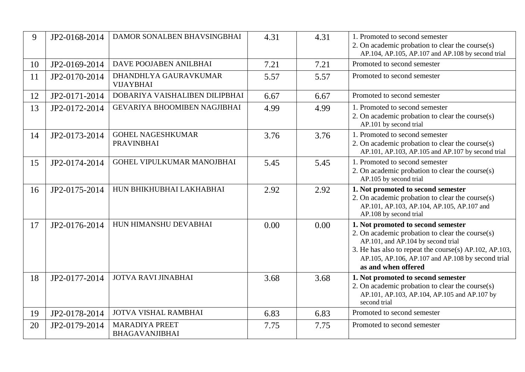| 9  | JP2-0168-2014 | DAMOR SONALBEN BHAVSINGBHAI                   | 4.31 | 4.31 | 1. Promoted to second semester<br>2. On academic probation to clear the course(s)<br>AP.104, AP.105, AP.107 and AP.108 by second trial                                                                                      |
|----|---------------|-----------------------------------------------|------|------|-----------------------------------------------------------------------------------------------------------------------------------------------------------------------------------------------------------------------------|
| 10 | JP2-0169-2014 | DAVE POOJABEN ANILBHAI                        | 7.21 | 7.21 | Promoted to second semester                                                                                                                                                                                                 |
| 11 | JP2-0170-2014 | DHANDHLYA GAURAVKUMAR<br><b>VIJAYBHAI</b>     | 5.57 | 5.57 | Promoted to second semester                                                                                                                                                                                                 |
| 12 | JP2-0171-2014 | DOBARIYA VAISHALIBEN DILIPBHAI                | 6.67 | 6.67 | Promoted to second semester                                                                                                                                                                                                 |
| 13 | JP2-0172-2014 | GEVARIYA BHOOMIBEN NAGJIBHAI                  | 4.99 | 4.99 | 1. Promoted to second semester<br>2. On academic probation to clear the course(s)<br>AP.101 by second trial                                                                                                                 |
| 14 | JP2-0173-2014 | <b>GOHEL NAGESHKUMAR</b><br><b>PRAVINBHAI</b> | 3.76 | 3.76 | 1. Promoted to second semester<br>2. On academic probation to clear the course(s)<br>AP.101, AP.103, AP.105 and AP.107 by second trial                                                                                      |
| 15 | JP2-0174-2014 | GOHEL VIPULKUMAR MANOJBHAI                    | 5.45 | 5.45 | 1. Promoted to second semester<br>2. On academic probation to clear the course(s)<br>AP.105 by second trial                                                                                                                 |
| 16 | JP2-0175-2014 | HUN BHIKHUBHAI LAKHABHAI                      | 2.92 | 2.92 | 1. Not promoted to second semester<br>2. On academic probation to clear the course(s)<br>AP.101, AP.103, AP.104, AP.105, AP.107 and<br>AP.108 by second trial                                                               |
| 17 | JP2-0176-2014 | HUN HIMANSHU DEVABHAI                         | 0.00 | 0.00 | 1. Not promoted to second semester                                                                                                                                                                                          |
|    |               |                                               |      |      | 2. On academic probation to clear the course(s)<br>AP.101, and AP.104 by second trial<br>3. He has also to repeat the course(s) AP.102, AP.103,<br>AP.105, AP.106, AP.107 and AP.108 by second trial<br>as and when offered |
| 18 | JP2-0177-2014 | <b>JOTVA RAVI JINABHAI</b>                    | 3.68 | 3.68 | 1. Not promoted to second semester<br>2. On academic probation to clear the course(s)<br>AP.101, AP.103, AP.104, AP.105 and AP.107 by<br>second trial                                                                       |
| 19 | JP2-0178-2014 | <b>JOTVA VISHAL RAMBHAI</b>                   | 6.83 | 6.83 | Promoted to second semester                                                                                                                                                                                                 |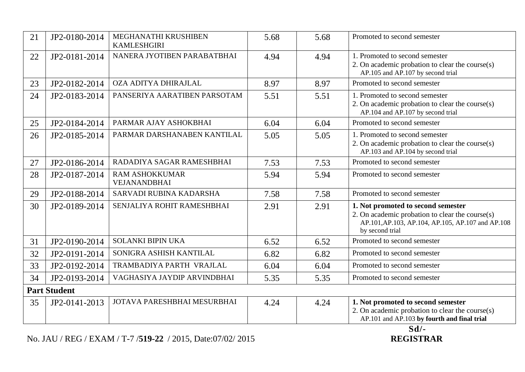| 21 | JP2-0180-2014       | MEGHANATHI KRUSHIBEN<br><b>KAMLESHGIRI</b>   | 5.68 | 5.68 | Promoted to second semester                                                                                                                                   |
|----|---------------------|----------------------------------------------|------|------|---------------------------------------------------------------------------------------------------------------------------------------------------------------|
| 22 | JP2-0181-2014       | NANERA JYOTIBEN PARABATBHAI                  | 4.94 | 4.94 | 1. Promoted to second semester<br>2. On academic probation to clear the course(s)<br>AP.105 and AP.107 by second trial                                        |
| 23 | JP2-0182-2014       | OZA ADITYA DHIRAJLAL                         | 8.97 | 8.97 | Promoted to second semester                                                                                                                                   |
| 24 | JP2-0183-2014       | PANSERIYA AARATIBEN PARSOTAM                 | 5.51 | 5.51 | 1. Promoted to second semester<br>2. On academic probation to clear the course(s)<br>AP.104 and AP.107 by second trial                                        |
| 25 | JP2-0184-2014       | PARMAR AJAY ASHOKBHAI                        | 6.04 | 6.04 | Promoted to second semester                                                                                                                                   |
| 26 | JP2-0185-2014       | PARMAR DARSHANABEN KANTILAL                  | 5.05 | 5.05 | 1. Promoted to second semester<br>2. On academic probation to clear the course(s)<br>AP.103 and AP.104 by second trial                                        |
| 27 | JP2-0186-2014       | RADADIYA SAGAR RAMESHBHAI                    | 7.53 | 7.53 | Promoted to second semester                                                                                                                                   |
| 28 | JP2-0187-2014       | <b>RAM ASHOKKUMAR</b><br><b>VEJANANDBHAI</b> | 5.94 | 5.94 | Promoted to second semester                                                                                                                                   |
| 29 | JP2-0188-2014       | SARVADI RUBINA KADARSHA                      | 7.58 | 7.58 | Promoted to second semester                                                                                                                                   |
| 30 | JP2-0189-2014       | SENJALIYA ROHIT RAMESHBHAI                   | 2.91 | 2.91 | 1. Not promoted to second semester<br>2. On academic probation to clear the course(s)<br>AP.101, AP.103, AP.104, AP.105, AP.107 and AP.108<br>by second trial |
| 31 | JP2-0190-2014       | <b>SOLANKI BIPIN UKA</b>                     | 6.52 | 6.52 | Promoted to second semester                                                                                                                                   |
| 32 | JP2-0191-2014       | SONIGRA ASHISH KANTILAL                      | 6.82 | 6.82 | Promoted to second semester                                                                                                                                   |
| 33 | JP2-0192-2014       | TRAMBADIYA PARTH VRAJLAL                     | 6.04 | 6.04 | Promoted to second semester                                                                                                                                   |
| 34 | JP2-0193-2014       | VAGHASIYA JAYDIP ARVINDBHAI                  | 5.35 | 5.35 | Promoted to second semester                                                                                                                                   |
|    | <b>Part Student</b> |                                              |      |      |                                                                                                                                                               |
| 35 | JP2-0141-2013       | JOTAVA PARESHBHAI MESURBHAI                  | 4.24 | 4.24 | 1. Not promoted to second semester<br>2. On academic probation to clear the course(s)<br>AP.101 and AP.103 by fourth and final trial                          |

No. JAU / REG / EXAM / T-7 /519-22 / 2015, Date:07/02/ 2015

Sd/-<br>REGISTRAR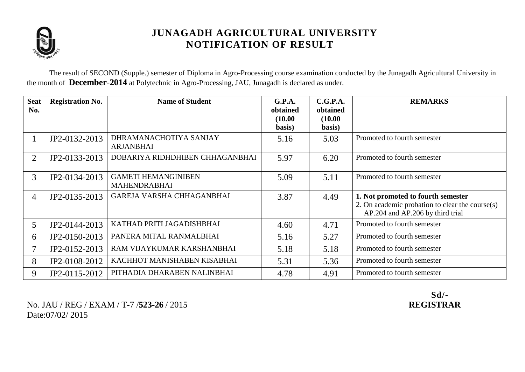

The result of SECOND (Supple.) semester of Diploma in Agro-Processing course examination conducted by the Junagadh Agricultural University in the month of **December-2014** at Polytechnic in Agro-Processing, JAU, Junagadh is declared as under.

| <b>Seat</b><br>No. | <b>Registration No.</b> | <b>Name of Student</b>                            | G.P.A.<br>obtained<br>(10.00)<br>basis) | C.G.P.A.<br>obtained<br>(10.00)<br>basis) | <b>REMARKS</b>                                                                                                            |
|--------------------|-------------------------|---------------------------------------------------|-----------------------------------------|-------------------------------------------|---------------------------------------------------------------------------------------------------------------------------|
|                    | JP2-0132-2013           | DHRAMANACHOTIYA SANJAY<br><b>ARJANBHAI</b>        | 5.16                                    | 5.03                                      | Promoted to fourth semester                                                                                               |
| 2                  | JP2-0133-2013           | DOBARIYA RIDHDHIBEN CHHAGANBHAI                   | 5.97                                    | 6.20                                      | Promoted to fourth semester                                                                                               |
| 3                  | JP2-0134-2013           | <b>GAMETI HEMANGINIBEN</b><br><b>MAHENDRABHAI</b> | 5.09                                    | 5.11                                      | Promoted to fourth semester                                                                                               |
| $\overline{4}$     | JP2-0135-2013           | GAREJA VARSHA CHHAGANBHAI                         | 3.87                                    | 4.49                                      | 1. Not promoted to fourth semester<br>2. On academic probation to clear the course(s)<br>AP.204 and AP.206 by third trial |
| 5                  | JP2-0144-2013           | KATHAD PRITI JAGADISHBHAI                         | 4.60                                    | 4.71                                      | Promoted to fourth semester                                                                                               |
| 6                  | JP2-0150-2013           | PANERA MITAL RANMALBHAI                           | 5.16                                    | 5.27                                      | Promoted to fourth semester                                                                                               |
|                    | JP2-0152-2013           | RAM VIJAYKUMAR KARSHANBHAI                        | 5.18                                    | 5.18                                      | Promoted to fourth semester                                                                                               |
| 8                  | JP2-0108-2012           | KACHHOT MANISHABEN KISABHAI                       | 5.31                                    | 5.36                                      | Promoted to fourth semester                                                                                               |
| 9                  | JP2-0115-2012           | PITHADIA DHARABEN NALINBHAI                       | 4.78                                    | 4.91                                      | Promoted to fourth semester                                                                                               |

No. JAU / REG / EXAM / T-7 /**523-26** / 2015 **REGISTRAR** Date:07/02/ 2015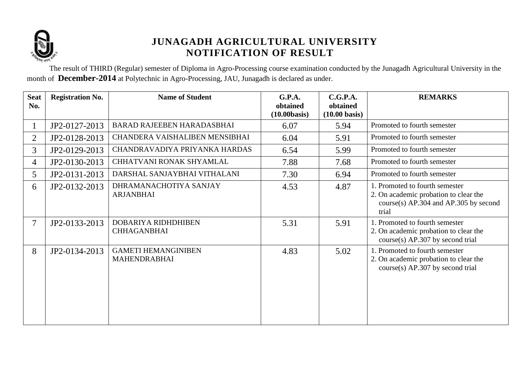

The result of THIRD (Regular) semester of Diploma in Agro-Processing course examination conducted by the Junagadh Agricultural University in the month of **December-2014** at Polytechnic in Agro-Processing, JAU, Junagadh is declared as under.

| <b>Seat</b><br>No. | <b>Registration No.</b> | <b>Name of Student</b>                            | G.P.A.<br>obtained | C.G.P.A.<br>obtained    | <b>REMARKS</b>                                                                                                              |
|--------------------|-------------------------|---------------------------------------------------|--------------------|-------------------------|-----------------------------------------------------------------------------------------------------------------------------|
|                    |                         |                                                   | (10.00 basis)      | $(10.00 \text{ basis})$ |                                                                                                                             |
|                    | JP2-0127-2013           | <b>BARAD RAJEEBEN HARADASBHAI</b>                 | 6.07               | 5.94                    | Promoted to fourth semester                                                                                                 |
| $\overline{2}$     | JP2-0128-2013           | CHANDERA VAISHALIBEN MENSIBHAI                    | 6.04               | 5.91                    | Promoted to fourth semester                                                                                                 |
| $\overline{3}$     | JP2-0129-2013           | CHANDRAVADIYA PRIYANKA HARDAS                     | 6.54               | 5.99                    | Promoted to fourth semester                                                                                                 |
| $\overline{4}$     | JP2-0130-2013           | CHHATVANI RONAK SHYAMLAL                          | 7.88               | 7.68                    | Promoted to fourth semester                                                                                                 |
| 5                  | JP2-0131-2013           | DARSHAL SANJAYBHAI VITHALANI                      | 7.30               | 6.94                    | Promoted to fourth semester                                                                                                 |
| 6                  | JP2-0132-2013           | DHRAMANACHOTIYA SANJAY<br><b>ARJANBHAI</b>        | 4.53               | 4.87                    | 1. Promoted to fourth semester<br>2. On academic probation to clear the<br>$course(s)$ AP.304 and AP.305 by second<br>trial |
| $\overline{7}$     | JP2-0133-2013           | DOBARIYA RIDHDHIBEN<br><b>CHHAGANBHAI</b>         | 5.31               | 5.91                    | 1. Promoted to fourth semester<br>2. On academic probation to clear the<br>$course(s)$ AP.307 by second trial               |
| 8                  | JP2-0134-2013           | <b>GAMETI HEMANGINIBEN</b><br><b>MAHENDRABHAI</b> | 4.83               | 5.02                    | 1. Promoted to fourth semester<br>2. On academic probation to clear the<br>$course(s)$ AP.307 by second trial               |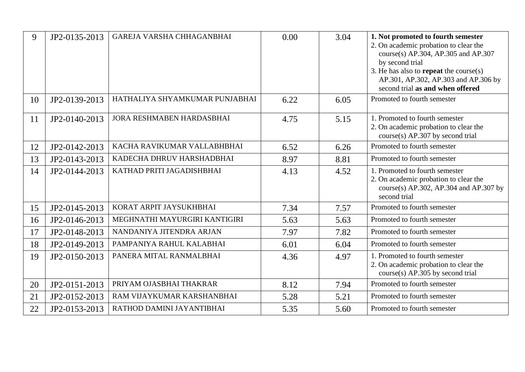| 9  | JP2-0135-2013 | GAREJA VARSHA CHHAGANBHAI      | 0.00 | 3.04 | 1. Not promoted to fourth semester<br>2. On academic probation to clear the<br>course(s) AP.304, AP.305 and AP.307<br>by second trial<br>3. He has also to <b>repeat</b> the course $(s)$<br>AP.301, AP.302, AP.303 and AP.306 by<br>second trial as and when offered |
|----|---------------|--------------------------------|------|------|-----------------------------------------------------------------------------------------------------------------------------------------------------------------------------------------------------------------------------------------------------------------------|
| 10 | JP2-0139-2013 | HATHALIYA SHYAMKUMAR PUNJABHAI | 6.22 | 6.05 | Promoted to fourth semester                                                                                                                                                                                                                                           |
| 11 | JP2-0140-2013 | JORA RESHMABEN HARDASBHAI      | 4.75 | 5.15 | 1. Promoted to fourth semester<br>2. On academic probation to clear the<br>course(s) AP.307 by second trial                                                                                                                                                           |
| 12 | JP2-0142-2013 | KACHA RAVIKUMAR VALLABHBHAI    | 6.52 | 6.26 | Promoted to fourth semester                                                                                                                                                                                                                                           |
| 13 | JP2-0143-2013 | KADECHA DHRUV HARSHADBHAI      | 8.97 | 8.81 | Promoted to fourth semester                                                                                                                                                                                                                                           |
| 14 | JP2-0144-2013 | KATHAD PRITI JAGADISHBHAI      | 4.13 | 4.52 | 1. Promoted to fourth semester<br>2. On academic probation to clear the<br>course(s) AP.302, AP.304 and AP.307 by<br>second trial                                                                                                                                     |
| 15 | JP2-0145-2013 | KORAT ARPIT JAYSUKHBHAI        | 7.34 | 7.57 | Promoted to fourth semester                                                                                                                                                                                                                                           |
| 16 | JP2-0146-2013 | MEGHNATHI MAYURGIRI KANTIGIRI  | 5.63 | 5.63 | Promoted to fourth semester                                                                                                                                                                                                                                           |
| 17 | JP2-0148-2013 | NANDANIYA JITENDRA ARJAN       | 7.97 | 7.82 | Promoted to fourth semester                                                                                                                                                                                                                                           |
| 18 | JP2-0149-2013 | PAMPANIYA RAHUL KALABHAI       | 6.01 | 6.04 | Promoted to fourth semester                                                                                                                                                                                                                                           |
| 19 | JP2-0150-2013 | PANERA MITAL RANMALBHAI        | 4.36 | 4.97 | 1. Promoted to fourth semester<br>2. On academic probation to clear the<br>course(s) AP.305 by second trial                                                                                                                                                           |
| 20 | JP2-0151-2013 | PRIYAM OJASBHAI THAKRAR        | 8.12 | 7.94 | Promoted to fourth semester                                                                                                                                                                                                                                           |
| 21 | JP2-0152-2013 | RAM VIJAYKUMAR KARSHANBHAI     | 5.28 | 5.21 | Promoted to fourth semester                                                                                                                                                                                                                                           |
| 22 | JP2-0153-2013 | RATHOD DAMINI JAYANTIBHAI      | 5.35 | 5.60 | Promoted to fourth semester                                                                                                                                                                                                                                           |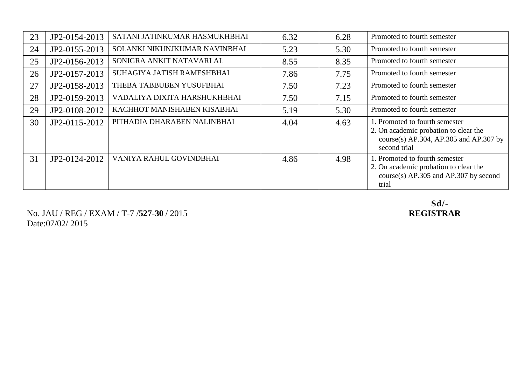| 23 | JP2-0154-2013 | SATANI JATINKUMAR HASMUKHBHAI | 6.32 | 6.28 | Promoted to fourth semester                                                                                                       |
|----|---------------|-------------------------------|------|------|-----------------------------------------------------------------------------------------------------------------------------------|
| 24 | JP2-0155-2013 | SOLANKI NIKUNJKUMAR NAVINBHAI | 5.23 | 5.30 | Promoted to fourth semester                                                                                                       |
| 25 | JP2-0156-2013 | SONIGRA ANKIT NATAVARLAL      | 8.55 | 8.35 | Promoted to fourth semester                                                                                                       |
| 26 | JP2-0157-2013 | SUHAGIYA JATISH RAMESHBHAI    | 7.86 | 7.75 | Promoted to fourth semester                                                                                                       |
| 27 | JP2-0158-2013 | THEBA TABBUBEN YUSUFBHAI      | 7.50 | 7.23 | Promoted to fourth semester                                                                                                       |
| 28 | JP2-0159-2013 | VADALIYA DIXITA HARSHUKHBHAI  | 7.50 | 7.15 | Promoted to fourth semester                                                                                                       |
| 29 | JP2-0108-2012 | KACHHOT MANISHABEN KISABHAI   | 5.19 | 5.30 | Promoted to fourth semester                                                                                                       |
| 30 | JP2-0115-2012 | PITHADIA DHARABEN NALINBHAI   | 4.04 | 4.63 | 1. Promoted to fourth semester<br>2. On academic probation to clear the<br>course(s) AP.304, AP.305 and AP.307 by<br>second trial |
| 31 | JP2-0124-2012 | VANIYA RAHUL GOVINDBHAI       | 4.86 | 4.98 | 1. Promoted to fourth semester<br>2. On academic probation to clear the<br>course(s) $AP.305$ and $AP.307$ by second<br>trial     |

No. JAU / REG / EXAM / T-7 /**527-30** / 2015 Date:07/02/ 2015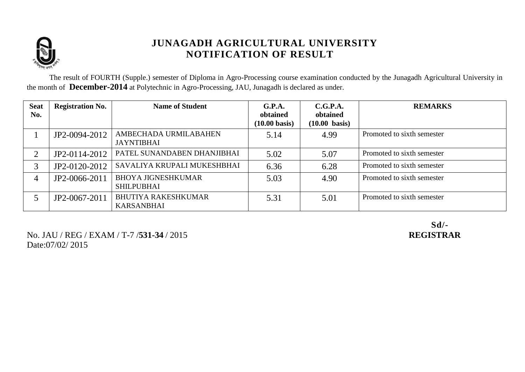

The result of FOURTH (Supple.) semester of Diploma in Agro-Processing course examination conducted by the Junagadh Agricultural University in the month of **December-2014** at Polytechnic in Agro-Processing, JAU, Junagadh is declared as under.

| <b>Seat</b><br>No. | <b>Registration No.</b> | <b>Name of Student</b>                          | G.P.A.<br>obtained<br>$(10.00 \text{ basis})$ | C.G.P.A.<br>obtained<br>$(10.00 \text{ basis})$ | <b>REMARKS</b>             |
|--------------------|-------------------------|-------------------------------------------------|-----------------------------------------------|-------------------------------------------------|----------------------------|
|                    | JP2-0094-2012           | AMBECHADA URMILABAHEN<br><b>JAYNTIBHAI</b>      | 5.14                                          | 4.99                                            | Promoted to sixth semester |
| $\bigcap$          | JP2-0114-2012           | PATEL SUNANDABEN DHANJIBHAI                     | 5.02                                          | 5.07                                            | Promoted to sixth semester |
| 3                  | JP2-0120-2012           | SAVALIYA KRUPALI MUKESHBHAI                     | 6.36                                          | 6.28                                            | Promoted to sixth semester |
|                    | JP2-0066-2011           | <b>BHOYA JIGNESHKUMAR</b><br><b>SHILPUBHAI</b>  | 5.03                                          | 4.90                                            | Promoted to sixth semester |
|                    | JP2-0067-2011           | <b>BHUTIYA RAKESHKUMAR</b><br><b>KARSANBHAI</b> | 5.31                                          | 5.01                                            | Promoted to sixth semester |

No. JAU / REG / EXAM / T-7 /**531-34** / 2015 **REGISTRAR** Date:07/02/ 2015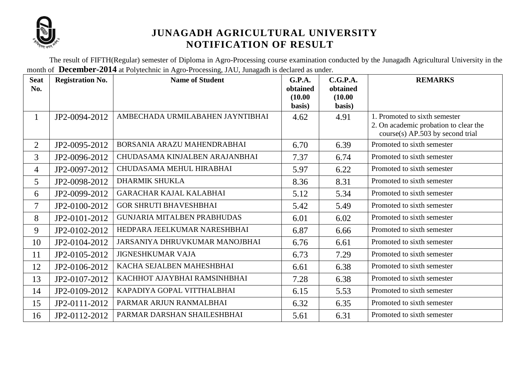

The result of FIFTH(Regular) semester of Diploma in Agro-Processing course examination conducted by the Junagadh Agricultural University in the month of **December-2014** at Polytechnic in Agro-Processing, JAU, Junagadh is declared as under.

| <b>Seat</b><br>No. | <b>Registration No.</b> | <b>Name of Student</b>             | <b>G.P.A.</b><br>obtained<br>(10.00) | C.G.P.A.<br>obtained<br>(10.00) | <b>REMARKS</b>                                                                                               |
|--------------------|-------------------------|------------------------------------|--------------------------------------|---------------------------------|--------------------------------------------------------------------------------------------------------------|
|                    |                         |                                    | basis)                               | basis)                          |                                                                                                              |
| $\mathbf{1}$       | JP2-0094-2012           | AMBECHADA URMILABAHEN JAYNTIBHAI   | 4.62                                 | 4.91                            | 1. Promoted to sixth semester<br>2. On academic probation to clear the<br>$course(s)$ AP.503 by second trial |
| $\overline{2}$     | JP2-0095-2012           | BORSANIA ARAZU MAHENDRABHAI        | 6.70                                 | 6.39                            | Promoted to sixth semester                                                                                   |
| $\overline{3}$     | JP2-0096-2012           | CHUDASAMA KINJALBEN ARAJANBHAI     | 7.37                                 | 6.74                            | Promoted to sixth semester                                                                                   |
| $\overline{4}$     | JP2-0097-2012           | CHUDASAMA MEHUL HIRABHAI           | 5.97                                 | 6.22                            | Promoted to sixth semester                                                                                   |
| 5                  | JP2-0098-2012           | <b>DHARMIK SHUKLA</b>              | 8.36                                 | 8.31                            | Promoted to sixth semester                                                                                   |
| 6                  | JP2-0099-2012           | <b>GARACHAR KAJAL KALABHAI</b>     | 5.12                                 | 5.34                            | Promoted to sixth semester                                                                                   |
| $\overline{7}$     | JP2-0100-2012           | <b>GOR SHRUTI BHAVESHBHAI</b>      | 5.42                                 | 5.49                            | Promoted to sixth semester                                                                                   |
| 8                  | JP2-0101-2012           | <b>GUNJARIA MITALBEN PRABHUDAS</b> | 6.01                                 | 6.02                            | Promoted to sixth semester                                                                                   |
| 9                  | JP2-0102-2012           | HEDPARA JEELKUMAR NARESHBHAI       | 6.87                                 | 6.66                            | Promoted to sixth semester                                                                                   |
| 10                 | JP2-0104-2012           | JARSANIYA DHRUVKUMAR MANOJBHAI     | 6.76                                 | 6.61                            | Promoted to sixth semester                                                                                   |
| 11                 | JP2-0105-2012           | <b>JIGNESHKUMAR VAJA</b>           | 6.73                                 | 7.29                            | Promoted to sixth semester                                                                                   |
| 12                 | JP2-0106-2012           | KACHA SEJALBEN MAHESHBHAI          | 6.61                                 | 6.38                            | Promoted to sixth semester                                                                                   |
| 13                 | JP2-0107-2012           | KACHHOT AJAYBHAI RAMSINHBHAI       | 7.28                                 | 6.38                            | Promoted to sixth semester                                                                                   |
| 14                 | JP2-0109-2012           | KAPADIYA GOPAL VITTHALBHAI         | 6.15                                 | 5.53                            | Promoted to sixth semester                                                                                   |
| 15                 | JP2-0111-2012           | PARMAR ARJUN RANMALBHAI            | 6.32                                 | 6.35                            | Promoted to sixth semester                                                                                   |
| 16                 | JP2-0112-2012           | PARMAR DARSHAN SHAILESHBHAI        | 5.61                                 | 6.31                            | Promoted to sixth semester                                                                                   |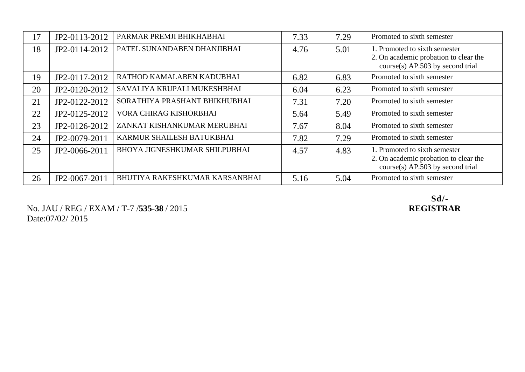|    |               | PARMAR PREMJI BHIKHABHAI       |      |      | Promoted to sixth semester                                                                                   |
|----|---------------|--------------------------------|------|------|--------------------------------------------------------------------------------------------------------------|
| 17 | JP2-0113-2012 |                                | 7.33 | 7.29 |                                                                                                              |
| 18 | JP2-0114-2012 | PATEL SUNANDABEN DHANJIBHAI    | 4.76 | 5.01 | 1. Promoted to sixth semester<br>2. On academic probation to clear the<br>$course(s)$ AP.503 by second trial |
| 19 | JP2-0117-2012 | RATHOD KAMALABEN KADUBHAI      | 6.82 | 6.83 | Promoted to sixth semester                                                                                   |
| 20 | JP2-0120-2012 | SAVALIYA KRUPALI MUKESHBHAI    | 6.04 | 6.23 | Promoted to sixth semester                                                                                   |
| 21 | JP2-0122-2012 | SORATHIYA PRASHANT BHIKHUBHAI  | 7.31 | 7.20 | Promoted to sixth semester                                                                                   |
| 22 | JP2-0125-2012 | VORA CHIRAG KISHORBHAI         | 5.64 | 5.49 | Promoted to sixth semester                                                                                   |
| 23 | JP2-0126-2012 | ZANKAT KISHANKUMAR MERUBHAI    | 7.67 | 8.04 | Promoted to sixth semester                                                                                   |
| 24 | JP2-0079-2011 | KARMUR SHAILESH BATUKBHAI      | 7.82 | 7.29 | Promoted to sixth semester                                                                                   |
| 25 | JP2-0066-2011 | BHOYA JIGNESHKUMAR SHILPUBHAI  | 4.57 | 4.83 | 1. Promoted to sixth semester<br>2. On academic probation to clear the<br>$course(s)$ AP.503 by second trial |
| 26 | JP2-0067-2011 | BHUTIYA RAKESHKUMAR KARSANBHAI | 5.16 | 5.04 | Promoted to sixth semester                                                                                   |

No. JAU / REG / EXAM / T-7 / **535-38** / 2015 Date:07/02/ 2015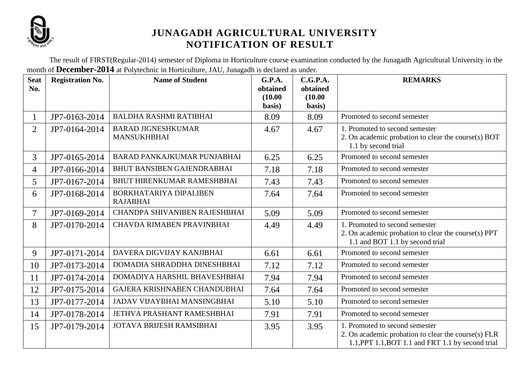

The result of FIRST(Regular-2014) semester of Diploma in Horticulture course examination conducted by the Junagadh Agricultural University in the month of **December-2014** at Polytechnic in Horticulture, JAU, Junagadh is declared as under.

| <b>Seat</b><br>No. | <b>Registration No.</b> | <b>Name of Student</b>                          | <b>G.P.A.</b><br>obtained<br>(10.00)<br>basis) | C.G.P.A.<br>obtained<br>(10.00)<br>basis) | <b>REMARKS</b>                                                                                                                             |
|--------------------|-------------------------|-------------------------------------------------|------------------------------------------------|-------------------------------------------|--------------------------------------------------------------------------------------------------------------------------------------------|
|                    | JP7-0163-2014           | <b>BALDHA RASHMI RATIBHAI</b>                   | 8.09                                           | 8.09                                      | Promoted to second semester                                                                                                                |
| $\overline{2}$     | JP7-0164-2014           | <b>BARAD JIGNESHKUMAR</b><br><b>MANSUKHBHAI</b> | 4.67                                           | 4.67                                      | 1. Promoted to second semester<br>2. On academic probation to clear the course(s) BOT<br>1.1 by second trial                               |
| 3                  | JP7-0165-2014           | BARAD PANKAJKUMAR PUNJABHAI                     | 6.25                                           | 6.25                                      | Promoted to second semester                                                                                                                |
| $\overline{4}$     | JP7-0166-2014           | <b>BHUT BANSIBEN GAJENDRABHAI</b>               | 7.18                                           | 7.18                                      | Promoted to second semester                                                                                                                |
| 5                  | JP7-0167-2014           | BHUT HIRENKUMAR RAMESHBHAI                      | 7.43                                           | 7.43                                      | Promoted to second semester                                                                                                                |
| 6                  | JP7-0168-2014           | BORKHATARIYA DIPALIBEN<br><b>RAJABHAI</b>       | 7.64                                           | 7.64                                      | Promoted to second semester                                                                                                                |
| $\overline{7}$     | JP7-0169-2014           | CHANDPA SHIVANIBEN RAJESHBHAI                   | 5.09                                           | 5.09                                      | Promoted to second semester                                                                                                                |
| 8                  | JP7-0170-2014           | CHAVDA RIMABEN PRAVINBHAI                       | 4.49                                           | 4.49                                      | 1. Promoted to second semester<br>2. On academic probation to clear the course(s) PPT<br>1.1 and BOT 1.1 by second trial                   |
| 9                  | JP7-0171-2014           | DAVERA DIGVIJAY KANJIBHAI                       | 6.61                                           | 6.61                                      | Promoted to second semester                                                                                                                |
| 10                 | JP7-0173-2014           | DOMADIA SHRADDHA DINESHBHAI                     | 7.12                                           | 7.12                                      | Promoted to second semester                                                                                                                |
| 11                 | JP7-0174-2014           | DOMADIYA HARSHIL BHAVESHBHAI                    | 7.94                                           | 7.94                                      | Promoted to second semester                                                                                                                |
| 12                 | JP7-0175-2014           | GAJERA KRISHNABEN CHANDUBHAI                    | 7.64                                           | 7.64                                      | Promoted to second semester                                                                                                                |
| 13                 | JP7-0177-2014           | <b>JADAV VIJAYBHAI MANSINGBHAI</b>              | 5.10                                           | 5.10                                      | Promoted to second semester                                                                                                                |
| 14                 | JP7-0178-2014           | JETHVA PRASHANT RAMESHBHAI                      | 7.91                                           | 7.91                                      | Promoted to second semester                                                                                                                |
| 15                 | JP7-0179-2014           | JOTAVA BRIJESH RAMSIBHAI                        | 3.95                                           | 3.95                                      | 1. Promoted to second semester<br>2. On academic probation to clear the course(s) FLR<br>1.1, PPT 1.1, BOT 1.1 and FRT 1.1 by second trial |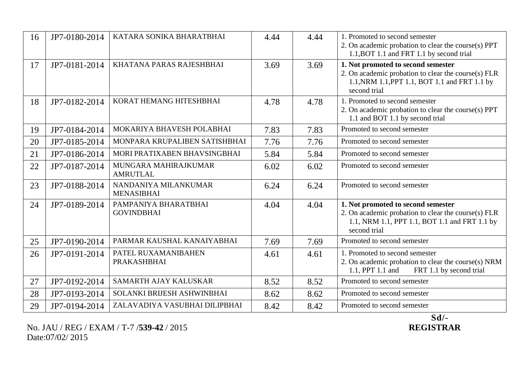| 16 | JP7-0180-2014 | KATARA SONIKA BHARATBHAI                  | 4.44 | 4.44 | 1. Promoted to second semester<br>2. On academic probation to clear the course(s) PPT<br>1.1, BOT 1.1 and FRT 1.1 by second trial                          |
|----|---------------|-------------------------------------------|------|------|------------------------------------------------------------------------------------------------------------------------------------------------------------|
| 17 | JP7-0181-2014 | KHATANA PARAS RAJESHBHAI                  | 3.69 | 3.69 | 1. Not promoted to second semester<br>2. On academic probation to clear the course(s) FLR<br>1.1, NRM 1.1, PPT 1.1, BOT 1.1 and FRT 1.1 by<br>second trial |
| 18 | JP7-0182-2014 | KORAT HEMANG HITESHBHAI                   | 4.78 | 4.78 | 1. Promoted to second semester<br>2. On academic probation to clear the course(s) PPT<br>1.1 and BOT 1.1 by second trial                                   |
| 19 | JP7-0184-2014 | MOKARIYA BHAVESH POLABHAI                 | 7.83 | 7.83 | Promoted to second semester                                                                                                                                |
| 20 | JP7-0185-2014 | MONPARA KRUPALIBEN SATISHBHAI             | 7.76 | 7.76 | Promoted to second semester                                                                                                                                |
| 21 | JP7-0186-2014 | MORI PRATIXABEN BHAVSINGBHAI              | 5.84 | 5.84 | Promoted to second semester                                                                                                                                |
| 22 | JP7-0187-2014 | MUNGARA MAHIRAJKUMAR<br><b>AMRUTLAL</b>   | 6.02 | 6.02 | Promoted to second semester                                                                                                                                |
| 23 | JP7-0188-2014 | NANDANIYA MILANKUMAR<br><b>MENASIBHAI</b> | 6.24 | 6.24 | Promoted to second semester                                                                                                                                |
| 24 | JP7-0189-2014 | PAMPANIYA BHARATBHAI<br><b>GOVINDBHAI</b> | 4.04 | 4.04 | 1. Not promoted to second semester<br>2. On academic probation to clear the course(s) FLR<br>1.1, NRM 1.1, PPT 1.1, BOT 1.1 and FRT 1.1 by<br>second trial |
| 25 | JP7-0190-2014 | PARMAR KAUSHAL KANAIYABHAI                | 7.69 | 7.69 | Promoted to second semester                                                                                                                                |
| 26 | JP7-0191-2014 | PATEL RUXAMANIBAHEN<br>PRAKASHBHAI        | 4.61 | 4.61 | 1. Promoted to second semester<br>2. On academic probation to clear the course(s) NRM<br>1.1, PPT 1.1 and<br>FRT 1.1 by second trial                       |
| 27 | JP7-0192-2014 | SAMARTH AJAY KALUSKAR                     | 8.52 | 8.52 | Promoted to second semester                                                                                                                                |
| 28 | JP7-0193-2014 | SOLANKI BRIJESH ASHWINBHAI                | 8.62 | 8.62 | Promoted to second semester                                                                                                                                |
| 29 | JP7-0194-2014 | ZALAVADIYA VASUBHAI DILIPBHAI             | 8.42 | 8.42 | Promoted to second semester                                                                                                                                |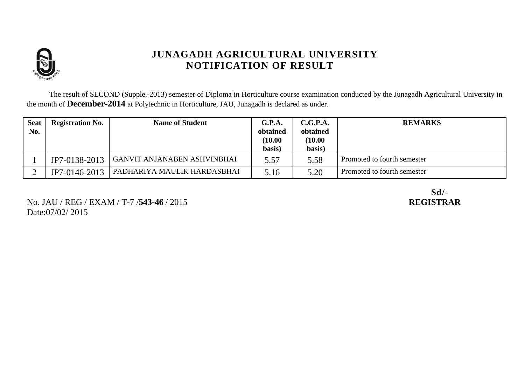

The result of SECOND (Supple.-2013) semester of Diploma in Horticulture course examination conducted by the Junagadh Agricultural University in the month of **December-2014** at Polytechnic in Horticulture, JAU, Junagadh is declared as under.

| <b>Seat</b><br>No. | <b>Registration No.</b> | <b>Name of Student</b>             | G.P.A.<br>obtained<br>(10.00)<br>basis) | C.G.P.A.<br>obtained<br>(10.00)<br>basis) | <b>REMARKS</b>              |
|--------------------|-------------------------|------------------------------------|-----------------------------------------|-------------------------------------------|-----------------------------|
|                    | JP7-0138-2013           | <b>GANVIT ANJANABEN ASHVINBHAI</b> | 5.57                                    | 5.58                                      | Promoted to fourth semester |
|                    | JP7-0146-2013           | PADHARIYA MAULIK HARDASBHAI        | 5.16                                    | 5.20                                      | Promoted to fourth semester |

No. JAU / REG / EXAM / T-7 /**543-46** / 2015 **REGISTRAR** Date:07/02/ 2015

Sd/-<br>REGISTRAR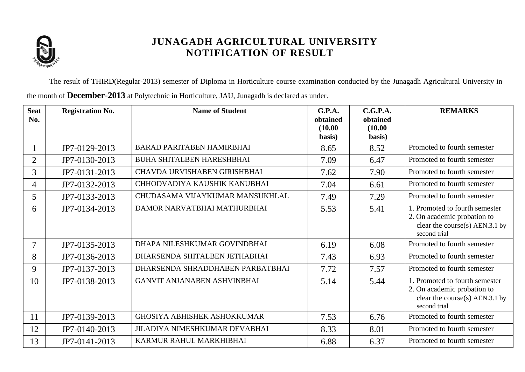

The result of THIRD(Regular-2013) semester of Diploma in Horticulture course examination conducted by the Junagadh Agricultural University in the month of **December-2013** at Polytechnic in Horticulture, JAU, Junagadh is declared as under.

| <b>Seat</b><br>No. | <b>Registration No.</b> | <b>Name of Student</b>               | G.P.A.<br>obtained<br>(10.00) | C.G.P.A.<br>obtained<br>(10.00) | <b>REMARKS</b>                                                                                                    |
|--------------------|-------------------------|--------------------------------------|-------------------------------|---------------------------------|-------------------------------------------------------------------------------------------------------------------|
|                    |                         |                                      | basis)                        | basis)                          |                                                                                                                   |
|                    | JP7-0129-2013           | <b>BARAD PARITABEN HAMIRBHAI</b>     | 8.65                          | 8.52                            | Promoted to fourth semester                                                                                       |
| $\overline{2}$     | JP7-0130-2013           | <b>BUHA SHITALBEN HARESHBHAI</b>     | 7.09                          | 6.47                            | Promoted to fourth semester                                                                                       |
| 3                  | JP7-0131-2013           | CHAVDA URVISHABEN GIRISHBHAI         | 7.62                          | 7.90                            | Promoted to fourth semester                                                                                       |
| $\overline{4}$     | JP7-0132-2013           | CHHODVADIYA KAUSHIK KANUBHAI         | 7.04                          | 6.61                            | Promoted to fourth semester                                                                                       |
| 5                  | JP7-0133-2013           | CHUDASAMA VIJAYKUMAR MANSUKHLAL      | 7.49                          | 7.29                            | Promoted to fourth semester                                                                                       |
| 6                  | JP7-0134-2013           | DAMOR NARVATBHAI MATHURBHAI          | 5.53                          | 5.41                            | 1. Promoted to fourth semester<br>2. On academic probation to<br>clear the course(s) $AEN.3.1$ by<br>second trial |
| $\tau$             | JP7-0135-2013           | DHAPA NILESHKUMAR GOVINDBHAI         | 6.19                          | 6.08                            | Promoted to fourth semester                                                                                       |
| 8                  | JP7-0136-2013           | DHARSENDA SHITALBEN JETHABHAI        | 7.43                          | 6.93                            | Promoted to fourth semester                                                                                       |
| 9                  | JP7-0137-2013           | DHARSENDA SHRADDHABEN PARBATBHAI     | 7.72                          | 7.57                            | Promoted to fourth semester                                                                                       |
| 10                 | JP7-0138-2013           | <b>GANVIT ANJANABEN ASHVINBHAI</b>   | 5.14                          | 5.44                            | 1. Promoted to fourth semester<br>2. On academic probation to<br>clear the course(s) $AEN.3.1$ by<br>second trial |
| 11                 | JP7-0139-2013           | <b>GHOSIYA ABHISHEK ASHOKKUMAR</b>   | 7.53                          | 6.76                            | Promoted to fourth semester                                                                                       |
| 12                 | JP7-0140-2013           | <b>JILADIYA NIMESHKUMAR DEVABHAI</b> | 8.33                          | 8.01                            | Promoted to fourth semester                                                                                       |
| 13                 | JP7-0141-2013           | KARMUR RAHUL MARKHIBHAI              | 6.88                          | 6.37                            | Promoted to fourth semester                                                                                       |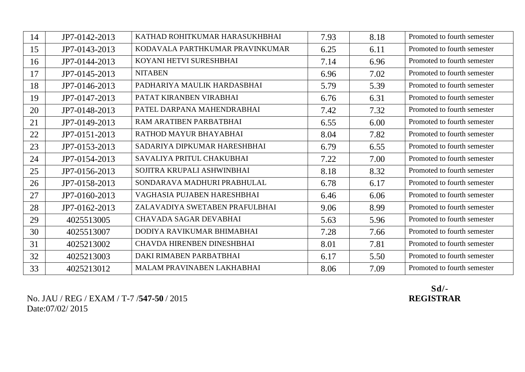| 14 | JP7-0142-2013 | KATHAD ROHITKUMAR HARASUKHBHAI  | 7.93 | 8.18 | Promoted to fourth semester |
|----|---------------|---------------------------------|------|------|-----------------------------|
| 15 | JP7-0143-2013 | KODAVALA PARTHKUMAR PRAVINKUMAR | 6.25 | 6.11 | Promoted to fourth semester |
| 16 | JP7-0144-2013 | KOYANI HETVI SURESHBHAI         | 7.14 | 6.96 | Promoted to fourth semester |
| 17 | JP7-0145-2013 | <b>NITABEN</b>                  | 6.96 | 7.02 | Promoted to fourth semester |
| 18 | JP7-0146-2013 | PADHARIYA MAULIK HARDASBHAI     | 5.79 | 5.39 | Promoted to fourth semester |
| 19 | JP7-0147-2013 | PATAT KIRANBEN VIRABHAI         | 6.76 | 6.31 | Promoted to fourth semester |
| 20 | JP7-0148-2013 | PATEL DARPANA MAHENDRABHAI      | 7.42 | 7.32 | Promoted to fourth semester |
| 21 | JP7-0149-2013 | RAM ARATIBEN PARBATBHAI         | 6.55 | 6.00 | Promoted to fourth semester |
| 22 | JP7-0151-2013 | RATHOD MAYUR BHAYABHAI          | 8.04 | 7.82 | Promoted to fourth semester |
| 23 | JP7-0153-2013 | SADARIYA DIPKUMAR HARESHBHAI    | 6.79 | 6.55 | Promoted to fourth semester |
| 24 | JP7-0154-2013 | SAVALIYA PRITUL CHAKUBHAI       | 7.22 | 7.00 | Promoted to fourth semester |
| 25 | JP7-0156-2013 | SOJITRA KRUPALI ASHWINBHAI      | 8.18 | 8.32 | Promoted to fourth semester |
| 26 | JP7-0158-2013 | SONDARAVA MADHURI PRABHULAL     | 6.78 | 6.17 | Promoted to fourth semester |
| 27 | JP7-0160-2013 | VAGHASIA PUJABEN HARESHBHAI     | 6.46 | 6.06 | Promoted to fourth semester |
| 28 | JP7-0162-2013 | ZALAVADIYA SWETABEN PRAFULBHAI  | 9.06 | 8.99 | Promoted to fourth semester |
| 29 | 4025513005    | <b>CHAVADA SAGAR DEVABHAI</b>   | 5.63 | 5.96 | Promoted to fourth semester |
| 30 | 4025513007    | DODIYA RAVIKUMAR BHIMABHAI      | 7.28 | 7.66 | Promoted to fourth semester |
| 31 | 4025213002    | CHAVDA HIRENBEN DINESHBHAI      | 8.01 | 7.81 | Promoted to fourth semester |
| 32 | 4025213003    | DAKI RIMABEN PARBATBHAI         | 6.17 | 5.50 | Promoted to fourth semester |
| 33 | 4025213012    | MALAM PRAVINABEN LAKHABHAI      | 8.06 | 7.09 | Promoted to fourth semester |

No. JAU / REG / EXAM / T-7 /**547-50** / 2015 **REGISTRAR** Date:07/02/ 2015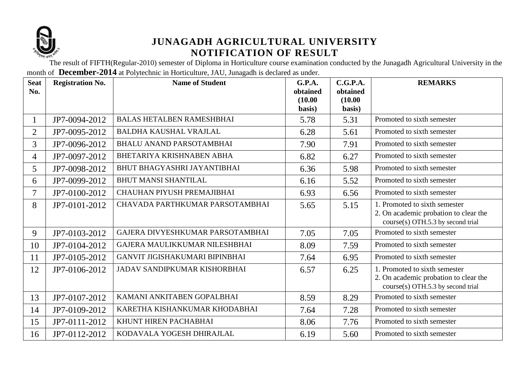

The result of FIFTH(Regular-2010) semester of Diploma in Horticulture course examination conducted by the Junagadh Agricultural University in the month of **December-2014** at Polytechnic in Horticulture, JAU, Junagadh is declared as under.

| <b>Seat</b><br>No. | <b>Registration No.</b> | <b>Name of Student</b>              | G.P.A.<br>obtained<br>(10.00)<br>basis) | C.G.P.A.<br>obtained<br>(10.00)<br>basis) | <b>REMARKS</b>                                                                                                |
|--------------------|-------------------------|-------------------------------------|-----------------------------------------|-------------------------------------------|---------------------------------------------------------------------------------------------------------------|
| 1                  | JP7-0094-2012           | <b>BALAS HETALBEN RAMESHBHAI</b>    | 5.78                                    | 5.31                                      | Promoted to sixth semester                                                                                    |
| $\overline{2}$     | JP7-0095-2012           | <b>BALDHA KAUSHAL VRAJLAL</b>       | 6.28                                    | 5.61                                      | Promoted to sixth semester                                                                                    |
| 3                  | JP7-0096-2012           | <b>BHALU ANAND PARSOTAMBHAI</b>     | 7.90                                    | 7.91                                      | Promoted to sixth semester                                                                                    |
| 4                  | JP7-0097-2012           | BHETARIYA KRISHNABEN ABHA           | 6.82                                    | 6.27                                      | Promoted to sixth semester                                                                                    |
| 5                  | JP7-0098-2012           | <b>BHUT BHAGYASHRI JAYANTIBHAI</b>  | 6.36                                    | 5.98                                      | Promoted to sixth semester                                                                                    |
| 6                  | JP7-0099-2012           | <b>BHUT MANSI SHANTILAL</b>         | 6.16                                    | 5.52                                      | Promoted to sixth semester                                                                                    |
| $\tau$             | JP7-0100-2012           | CHAUHAN PIYUSH PREMAJIBHAI          | 6.93                                    | 6.56                                      | Promoted to sixth semester                                                                                    |
| 8                  | JP7-0101-2012           | CHAVADA PARTHKUMAR PARSOTAMBHAI     | 5.65                                    | 5.15                                      | 1. Promoted to sixth semester<br>2. On academic probation to clear the<br>$course(s)$ OTH.5.3 by second trial |
| 9                  | JP7-0103-2012           | GAJERA DIVYESHKUMAR PARSOTAMBHAI    | 7.05                                    | 7.05                                      | Promoted to sixth semester                                                                                    |
| 10                 | JP7-0104-2012           | GAJERA MAULIKKUMAR NILESHBHAI       | 8.09                                    | 7.59                                      | Promoted to sixth semester                                                                                    |
| 11                 | JP7-0105-2012           | GANVIT JIGISHAKUMARI BIPINBHAI      | 7.64                                    | 6.95                                      | Promoted to sixth semester                                                                                    |
| 12                 | JP7-0106-2012           | <b>JADAV SANDIPKUMAR KISHORBHAI</b> | 6.57                                    | 6.25                                      | 1. Promoted to sixth semester<br>2. On academic probation to clear the<br>course(s) OTH.5.3 by second trial   |
| 13                 | JP7-0107-2012           | KAMANI ANKITABEN GOPALBHAI          | 8.59                                    | 8.29                                      | Promoted to sixth semester                                                                                    |
| 14                 | JP7-0109-2012           | KARETHA KISHANKUMAR KHODABHAI       | 7.64                                    | 7.28                                      | Promoted to sixth semester                                                                                    |
| 15                 | JP7-0111-2012           | KHUNT HIREN PACHABHAI               | 8.06                                    | 7.76                                      | Promoted to sixth semester                                                                                    |
| 16                 | JP7-0112-2012           | KODAVALA YOGESH DHIRAJLAL           | 6.19                                    | 5.60                                      | Promoted to sixth semester                                                                                    |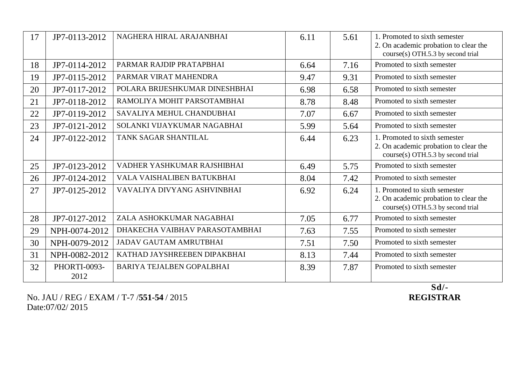| 17 | JP7-0113-2012        | NAGHERA HIRAL ARAJANBHAI       | 6.11 | 5.61 | 1. Promoted to sixth semester<br>2. On academic probation to clear the<br>course(s) OTH.5.3 by second trial |
|----|----------------------|--------------------------------|------|------|-------------------------------------------------------------------------------------------------------------|
| 18 | JP7-0114-2012        | PARMAR RAJDIP PRATAPBHAI       | 6.64 | 7.16 | Promoted to sixth semester                                                                                  |
| 19 | JP7-0115-2012        | PARMAR VIRAT MAHENDRA          | 9.47 | 9.31 | Promoted to sixth semester                                                                                  |
| 20 | JP7-0117-2012        | POLARA BRIJESHKUMAR DINESHBHAI | 6.98 | 6.58 | Promoted to sixth semester                                                                                  |
| 21 | JP7-0118-2012        | RAMOLIYA MOHIT PARSOTAMBHAI    | 8.78 | 8.48 | Promoted to sixth semester                                                                                  |
| 22 | JP7-0119-2012        | SAVALIYA MEHUL CHANDUBHAI      | 7.07 | 6.67 | Promoted to sixth semester                                                                                  |
| 23 | JP7-0121-2012        | SOLANKI VIJAYKUMAR NAGABHAI    | 5.99 | 5.64 | Promoted to sixth semester                                                                                  |
| 24 | JP7-0122-2012        | TANK SAGAR SHANTILAL           | 6.44 | 6.23 | 1. Promoted to sixth semester<br>2. On academic probation to clear the<br>course(s) OTH.5.3 by second trial |
| 25 | JP7-0123-2012        | VADHER YASHKUMAR RAJSHIBHAI    | 6.49 | 5.75 | Promoted to sixth semester                                                                                  |
| 26 | JP7-0124-2012        | VALA VAISHALIBEN BATUKBHAI     | 8.04 | 7.42 | Promoted to sixth semester                                                                                  |
| 27 | JP7-0125-2012        | VAVALIYA DIVYANG ASHVINBHAI    | 6.92 | 6.24 | 1. Promoted to sixth semester<br>2. On academic probation to clear the<br>course(s) OTH.5.3 by second trial |
| 28 | JP7-0127-2012        | ZALA ASHOKKUMAR NAGABHAI       | 7.05 | 6.77 | Promoted to sixth semester                                                                                  |
| 29 | NPH-0074-2012        | DHAKECHA VAIBHAV PARASOTAMBHAI | 7.63 | 7.55 | Promoted to sixth semester                                                                                  |
| 30 | NPH-0079-2012        | <b>JADAV GAUTAM AMRUTBHAI</b>  | 7.51 | 7.50 | Promoted to sixth semester                                                                                  |
| 31 | NPH-0082-2012        | KATHAD JAYSHREEBEN DIPAKBHAI   | 8.13 | 7.44 | Promoted to sixth semester                                                                                  |
| 32 | PHORTI-0093-<br>2012 | BARIYA TEJALBEN GOPALBHAI      | 8.39 | 7.87 | Promoted to sixth semester                                                                                  |

No. JAU / REG / EXAM / T-7 /**551-54** / 2015 Date:07/02/ 2015

Sd/-<br>REGISTRAR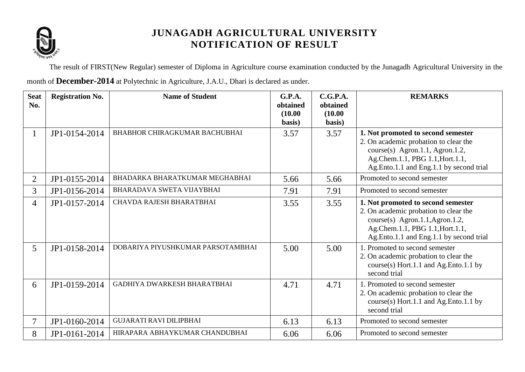

The result of FIRST(New Regular) semester of Diploma in Agriculture course examination conducted by the Junagadh Agricultural University in the month of **December-2014** at Polytechnic in Agriculture, J.A.U., Dhari is declared as under.

| <b>Seat</b><br>No. | <b>Registration No.</b> | <b>Name of Student</b>               | <b>G.P.A.</b><br>obtained<br>(10.00)<br>basis) | C.G.P.A.<br>obtained<br>(10.00)<br>basis) | <b>REMARKS</b>                                                                                                                                                                               |
|--------------------|-------------------------|--------------------------------------|------------------------------------------------|-------------------------------------------|----------------------------------------------------------------------------------------------------------------------------------------------------------------------------------------------|
| $\mathbf{1}$       | JP1-0154-2014           | <b>BHABHOR CHIRAGKUMAR BACHUBHAI</b> | 3.57                                           | 3.57                                      | 1. Not promoted to second semester<br>2. On academic probation to clear the<br>course(s) Agron.1.1, Agron.1.2,<br>Ag.Chem.1.1, PBG 1.1, Hort.1.1,<br>Ag.Ento.1.1 and Eng.1.1 by second trial |
| 2                  | JP1-0155-2014           | BHADARKA BHARATKUMAR MEGHABHAI       | 5.66                                           | 5.66                                      | Promoted to second semester                                                                                                                                                                  |
| $\overline{3}$     | JP1-0156-2014           | <b>BHARADAVA SWETA VIJAYBHAI</b>     | 7.91                                           | 7.91                                      | Promoted to second semester                                                                                                                                                                  |
| $\overline{4}$     | JP1-0157-2014           | CHAVDA RAJESH BHARATBHAI             | 3.55                                           | 3.55                                      | 1. Not promoted to second semester<br>2. On academic probation to clear the<br>course(s) Agron.1.1, Agron.1.2,<br>Ag.Chem.1.1, PBG 1.1, Hort.1.1,<br>Ag.Ento.1.1 and Eng.1.1 by second trial |
| 5 <sup>5</sup>     | JP1-0158-2014           | DOBARIYA PIYUSHKUMAR PARSOTAMBHAI    | 5.00                                           | 5.00                                      | 1. Promoted to second semester<br>2. On academic probation to clear the<br>course(s) Hort.1.1 and Ag.Ento.1.1 by<br>second trial                                                             |
| 6                  | JP1-0159-2014           | GADHIYA DWARKESH BHARATBHAI          | 4.71                                           | 4.71                                      | 1. Promoted to second semester<br>2. On academic probation to clear the<br>course(s) Hort.1.1 and Ag.Ento.1.1 by<br>second trial                                                             |
| $\overline{7}$     | JP1-0160-2014           | <b>GUJARATI RAVI DILIPBHAI</b>       | 6.13                                           | 6.13                                      | Promoted to second semester                                                                                                                                                                  |
| 8                  | JP1-0161-2014           | HIRAPARA ABHAYKUMAR CHANDUBHAI       | 6.06                                           | 6.06                                      | Promoted to second semester                                                                                                                                                                  |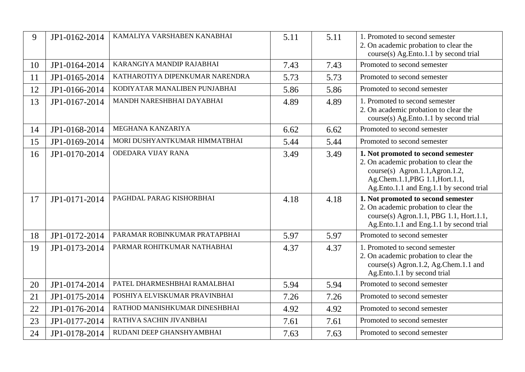| 9  | JP1-0162-2014 | KAMALIYA VARSHABEN KANABHAI     | 5.11 | 5.11 | 1. Promoted to second semester<br>2. On academic probation to clear the<br>course(s) Ag.Ento.1.1 by second trial                                                                             |
|----|---------------|---------------------------------|------|------|----------------------------------------------------------------------------------------------------------------------------------------------------------------------------------------------|
| 10 | JP1-0164-2014 | KARANGIYA MANDIP RAJABHAI       | 7.43 | 7.43 | Promoted to second semester                                                                                                                                                                  |
| 11 | JP1-0165-2014 | KATHAROTIYA DIPENKUMAR NARENDRA | 5.73 | 5.73 | Promoted to second semester                                                                                                                                                                  |
| 12 | JP1-0166-2014 | KODIYATAR MANALIBEN PUNJABHAI   | 5.86 | 5.86 | Promoted to second semester                                                                                                                                                                  |
| 13 | JP1-0167-2014 | MANDH NARESHBHAI DAYABHAI       | 4.89 | 4.89 | 1. Promoted to second semester<br>2. On academic probation to clear the<br>course(s) Ag.Ento.1.1 by second trial                                                                             |
| 14 | JP1-0168-2014 | MEGHANA KANZARIYA               | 6.62 | 6.62 | Promoted to second semester                                                                                                                                                                  |
| 15 | JP1-0169-2014 | MORI DUSHYANTKUMAR HIMMATBHAI   | 5.44 | 5.44 | Promoted to second semester                                                                                                                                                                  |
| 16 | JP1-0170-2014 | <b>ODEDARA VIJAY RANA</b>       | 3.49 | 3.49 | 1. Not promoted to second semester<br>2. On academic probation to clear the<br>course(s) Agron.1.1, Agron.1.2,<br>Ag.Chem.1.1, PBG 1.1, Hort.1.1,<br>Ag.Ento.1.1 and Eng.1.1 by second trial |
| 17 | JP1-0171-2014 | PAGHDAL PARAG KISHORBHAI        | 4.18 | 4.18 | 1. Not promoted to second semester<br>2. On academic probation to clear the<br>course(s) Agron.1.1, PBG 1.1, Hort.1.1,<br>Ag.Ento.1.1 and Eng.1.1 by second trial                            |
| 18 | JP1-0172-2014 | PARAMAR ROBINKUMAR PRATAPBHAI   | 5.97 | 5.97 | Promoted to second semester                                                                                                                                                                  |
| 19 | JP1-0173-2014 | PARMAR ROHITKUMAR NATHABHAI     | 4.37 | 4.37 | 1. Promoted to second semester<br>2. On academic probation to clear the<br>course(s) Agron.1.2, Ag.Chem.1.1 and<br>Ag.Ento.1.1 by second trial                                               |
| 20 | JP1-0174-2014 | PATEL DHARMESHBHAI RAMALBHAI    | 5.94 | 5.94 | Promoted to second semester                                                                                                                                                                  |
| 21 | JP1-0175-2014 | POSHIYA ELVISKUMAR PRAVINBHAI   | 7.26 | 7.26 | Promoted to second semester                                                                                                                                                                  |
| 22 | JP1-0176-2014 | RATHOD MANISHKUMAR DINESHBHAI   | 4.92 | 4.92 | Promoted to second semester                                                                                                                                                                  |
| 23 | JP1-0177-2014 | RATHVA SACHIN JIVANBHAI         | 7.61 | 7.61 | Promoted to second semester                                                                                                                                                                  |
| 24 | JP1-0178-2014 | RUDANI DEEP GHANSHYAMBHAI       | 7.63 | 7.63 | Promoted to second semester                                                                                                                                                                  |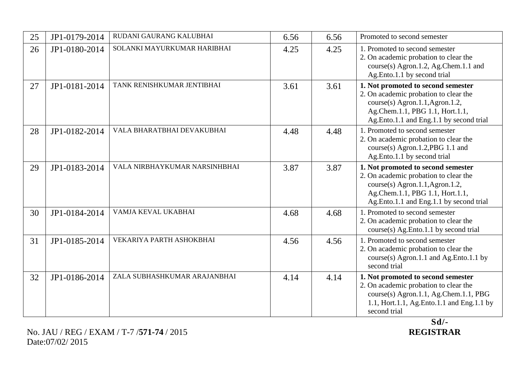| 25 | JP1-0179-2014 | RUDANI GAURANG KALUBHAI       | 6.56 | 6.56 | Promoted to second semester                                                                                                                                                                  |
|----|---------------|-------------------------------|------|------|----------------------------------------------------------------------------------------------------------------------------------------------------------------------------------------------|
| 26 | JP1-0180-2014 | SOLANKI MAYURKUMAR HARIBHAI   | 4.25 | 4.25 | 1. Promoted to second semester<br>2. On academic probation to clear the<br>course(s) Agron.1.2, Ag.Chem.1.1 and<br>Ag.Ento.1.1 by second trial                                               |
| 27 | JP1-0181-2014 | TANK RENISHKUMAR JENTIBHAI    | 3.61 | 3.61 | 1. Not promoted to second semester<br>2. On academic probation to clear the<br>course(s) Agron.1.1, Agron.1.2,<br>Ag.Chem.1.1, PBG 1.1, Hort.1.1,<br>Ag.Ento.1.1 and Eng.1.1 by second trial |
| 28 | JP1-0182-2014 | VALA BHARATBHAI DEVAKUBHAI    | 4.48 | 4.48 | 1. Promoted to second semester<br>2. On academic probation to clear the<br>course(s) Agron.1.2, PBG 1.1 and<br>Ag.Ento.1.1 by second trial                                                   |
| 29 | JP1-0183-2014 | VALA NIRBHAYKUMAR NARSINHBHAI | 3.87 | 3.87 | 1. Not promoted to second semester<br>2. On academic probation to clear the<br>course(s) Agron.1.1, Agron.1.2,<br>Ag.Chem.1.1, PBG 1.1, Hort.1.1,<br>Ag.Ento.1.1 and Eng.1.1 by second trial |
| 30 | JP1-0184-2014 | VAMJA KEVAL UKABHAI           | 4.68 | 4.68 | 1. Promoted to second semester<br>2. On academic probation to clear the<br>course(s) Ag.Ento.1.1 by second trial                                                                             |
| 31 | JP1-0185-2014 | VEKARIYA PARTH ASHOKBHAI      | 4.56 | 4.56 | 1. Promoted to second semester<br>2. On academic probation to clear the<br>course(s) Agron.1.1 and Ag.Ento.1.1 by<br>second trial                                                            |
| 32 | JP1-0186-2014 | ZALA SUBHASHKUMAR ARAJANBHAI  | 4.14 | 4.14 | 1. Not promoted to second semester<br>2. On academic probation to clear the<br>course(s) Agron.1.1, Ag.Chem.1.1, PBG<br>1.1, Hort.1.1, Ag. Ento.1.1 and Eng.1.1 by<br>second trial           |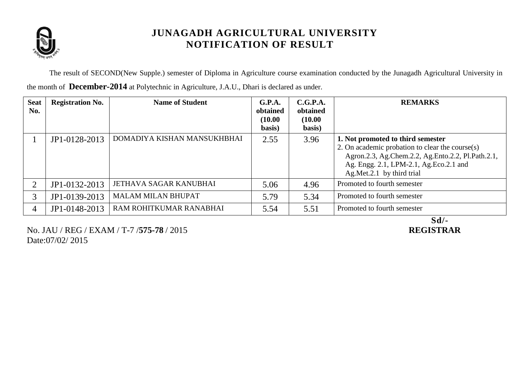

The result of SECOND(New Supple.) semester of Diploma in Agriculture course examination conducted by the Junagadh Agricultural University in

| <b>Seat</b><br>No. | <b>Registration No.</b> | <b>Name of Student</b>      | G.P.A.<br>obtained<br>(10.00)<br>basis) | C.G.P.A.<br>obtained<br>(10.00)<br>basis) | <b>REMARKS</b>                                                                                                                                                                                                     |
|--------------------|-------------------------|-----------------------------|-----------------------------------------|-------------------------------------------|--------------------------------------------------------------------------------------------------------------------------------------------------------------------------------------------------------------------|
|                    | JP1-0128-2013           | DOMADIYA KISHAN MANSUKHBHAI | 2.55                                    | 3.96                                      | 1. Not promoted to third semester<br>2. On academic probation to clear the course(s)<br>Agron.2.3, Ag.Chem.2.2, Ag.Ento.2.2, Pl.Path.2.1,<br>Ag. Engg. 2.1, LPM-2.1, Ag. Eco. 2.1 and<br>Ag.Met.2.1 by third trial |
| $\overline{2}$     | JP1-0132-2013           | JETHAVA SAGAR KANUBHAI      | 5.06                                    | 4.96                                      | Promoted to fourth semester                                                                                                                                                                                        |
| 3                  | JP1-0139-2013           | <b>MALAM MILAN BHUPAT</b>   | 5.79                                    | 5.34                                      | Promoted to fourth semester                                                                                                                                                                                        |
| 4                  | JP1-0148-2013           | RAM ROHITKUMAR RANABHAI     | 5.54                                    | 5.51                                      | Promoted to fourth semester                                                                                                                                                                                        |

the month of **December-2014** at Polytechnic in Agriculture, J.A.U., Dhari is declared as under.

No. JAU / REG / EXAM / T-7 /**575-78** / 2015 **REGISTRAR** Date:07/02/ 2015

Sd/-<br>REGISTRAR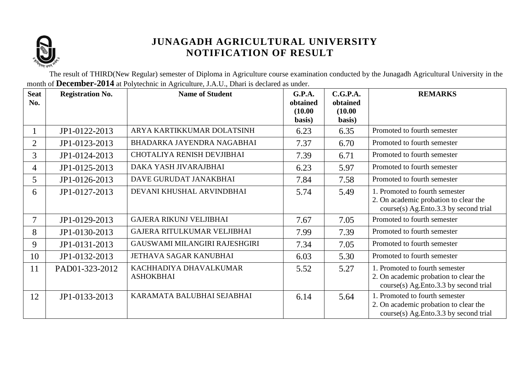

The result of THIRD(New Regular) semester of Diploma in Agriculture course examination conducted by the Junagadh Agricultural University in the month of **December-2014** at Polytechnic in Agriculture, J.A.U., Dhari is declared as under.

| <b>Seat</b><br>No. | <b>Registration No.</b> | <b>Name of Student</b>         | G.P.A.<br>obtained | C.G.P.A.<br>obtained | <b>REMARKS</b>                                                                 |
|--------------------|-------------------------|--------------------------------|--------------------|----------------------|--------------------------------------------------------------------------------|
|                    |                         |                                | (10.00)            | (10.00)              |                                                                                |
|                    |                         |                                | basis)             | basis)               |                                                                                |
| $\mathbf{1}$       | JP1-0122-2013           | ARYA KARTIKKUMAR DOLATSINH     | 6.23               | 6.35                 | Promoted to fourth semester                                                    |
| $\overline{2}$     | JP1-0123-2013           | BHADARKA JAYENDRA NAGABHAI     | 7.37               | 6.70                 | Promoted to fourth semester                                                    |
| 3                  | JP1-0124-2013           | CHOTALIYA RENISH DEVJIBHAI     | 7.39               | 6.71                 | Promoted to fourth semester                                                    |
| 4                  | JP1-0125-2013           | DAKA YASH JIVARAJBHAI          | 6.23               | 5.97                 | Promoted to fourth semester                                                    |
| 5                  | JP1-0126-2013           | DAVE GURUDAT JANAKBHAI         | 7.84               | 7.58                 | Promoted to fourth semester                                                    |
| 6                  | JP1-0127-2013           | DEVANI KHUSHAL ARVINDBHAI      | 5.74               | 5.49                 | 1. Promoted to fourth semester                                                 |
|                    |                         |                                |                    |                      | 2. On academic probation to clear the<br>course(s) Ag.Ento.3.3 by second trial |
| 7                  | JP1-0129-2013           | <b>GAJERA RIKUNJ VELJIBHAI</b> | 7.67               | 7.05                 | Promoted to fourth semester                                                    |
| 8                  | JP1-0130-2013           | GAJERA RITULKUMAR VELJIBHAI    | 7.99               | 7.39                 | Promoted to fourth semester                                                    |
| 9                  | JP1-0131-2013           | GAUSWAMI MILANGIRI RAJESHGIRI  | 7.34               | 7.05                 | Promoted to fourth semester                                                    |
| 10                 | JP1-0132-2013           | JETHAVA SAGAR KANUBHAI         | 6.03               | 5.30                 | Promoted to fourth semester                                                    |
| 11                 | PAD01-323-2012          | KACHHADIYA DHAVALKUMAR         | 5.52               | 5.27                 | 1. Promoted to fourth semester                                                 |
|                    |                         | <b>ASHOKBHAI</b>               |                    |                      | 2. On academic probation to clear the<br>course(s) Ag.Ento.3.3 by second trial |
| 12                 | JP1-0133-2013           | KARAMATA BALUBHAI SEJABHAI     | 6.14               | 5.64                 | 1. Promoted to fourth semester                                                 |
|                    |                         |                                |                    |                      | 2. On academic probation to clear the                                          |
|                    |                         |                                |                    |                      | course(s) Ag.Ento.3.3 by second trial                                          |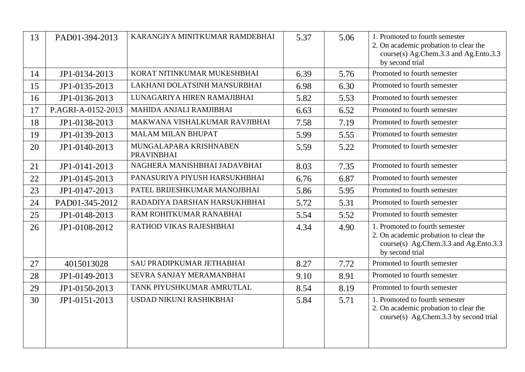| 13 | PAD01-394-2013     | KARANGIYA MINITKUMAR RAMDEBHAI              | 5.37 | 5.06 | 1. Promoted to fourth semester<br>2. On academic probation to clear the<br>course(s) Ag.Chem.3.3 and Ag.Ento.3.3<br>by second trial |
|----|--------------------|---------------------------------------------|------|------|-------------------------------------------------------------------------------------------------------------------------------------|
| 14 | JP1-0134-2013      | KORAT NITINKUMAR MUKESHBHAI                 | 6.39 | 5.76 | Promoted to fourth semester                                                                                                         |
| 15 | JP1-0135-2013      | LAKHANI DOLATSINH MANSURBHAI                | 6.98 | 6.30 | Promoted to fourth semester                                                                                                         |
| 16 | JP1-0136-2013      | LUNAGARIYA HIREN RAMAJIBHAI                 | 5.82 | 5.53 | Promoted to fourth semester                                                                                                         |
| 17 | P.AGRI-A-0152-2013 | MAHIDA ANJALI RAMJIBHAI                     | 6.63 | 6.52 | Promoted to fourth semester                                                                                                         |
| 18 | JP1-0138-2013      | MAKWANA VISHALKUMAR RAVJIBHAI               | 7.58 | 7.19 | Promoted to fourth semester                                                                                                         |
| 19 | JP1-0139-2013      | <b>MALAM MILAN BHUPAT</b>                   | 5.99 | 5.55 | Promoted to fourth semester                                                                                                         |
| 20 | JP1-0140-2013      | MUNGALAPARA KRISHNABEN<br><b>PRAVINBHAI</b> | 5.59 | 5.22 | Promoted to fourth semester                                                                                                         |
| 21 | JP1-0141-2013      | NAGHERA MANISHBHAI JADAVBHAI                | 8.03 | 7.35 | Promoted to fourth semester                                                                                                         |
| 22 | JP1-0145-2013      | PANASURIYA PIYUSH HARSUKHBHAI               | 6.76 | 6.87 | Promoted to fourth semester                                                                                                         |
| 23 | JP1-0147-2013      | PATEL BRIJESHKUMAR MANOJBHAI                | 5.86 | 5.95 | Promoted to fourth semester                                                                                                         |
| 24 | PAD01-345-2012     | RADADIYA DARSHAN HARSUKHBHAI                | 5.72 | 5.31 | Promoted to fourth semester                                                                                                         |
| 25 | JP1-0148-2013      | RAM ROHITKUMAR RANABHAI                     | 5.54 | 5.52 | Promoted to fourth semester                                                                                                         |
| 26 | JP1-0108-2012      | RATHOD VIKAS RAJESHBHAI                     | 4.34 | 4.90 | 1. Promoted to fourth semester<br>2. On academic probation to clear the<br>course(s) Ag.Chem.3.3 and Ag.Ento.3.3<br>by second trial |
| 27 | 4015013028         | SAU PRADIPKUMAR JETHABHAI                   | 8.27 | 7.72 | Promoted to fourth semester                                                                                                         |
| 28 | JP1-0149-2013      | SEVRA SANJAY MERAMANBHAI                    | 9.10 | 8.91 | Promoted to fourth semester                                                                                                         |
| 29 | JP1-0150-2013      | TANK PIYUSHKUMAR AMRUTLAL                   | 8.54 | 8.19 | Promoted to fourth semester                                                                                                         |
| 30 | JP1-0151-2013      | USDAD NIKUNJ RASHIKBHAI                     | 5.84 | 5.71 | 1. Promoted to fourth semester<br>2. On academic probation to clear the<br>course(s) Ag.Chem.3.3 by second trial                    |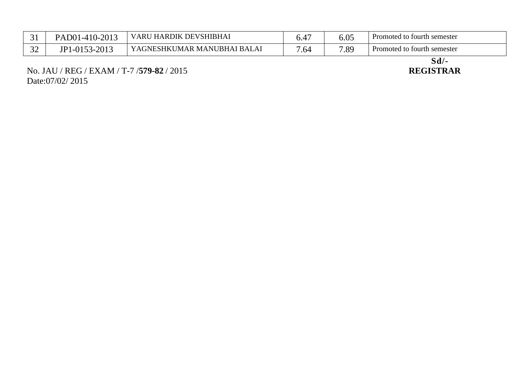| ⌒ 1<br>ັ້       | PAD01-410-2013                     | J HARDIK DEVSHIBHAI<br><b>VARU</b> | v.              | 5.05 | Promoted to fourth semester |
|-----------------|------------------------------------|------------------------------------|-----------------|------|-----------------------------|
| $\bigcap$<br>◡∸ | -2013<br>1-0153<br>ID <sub>1</sub> | YAGNESHKUMAR MANUBHAI BALAI        | .6 <sup>2</sup> | 7.89 | Promoted to fourth semester |

No. JAU / REG / EXAM / T-7 /**579-82** / 2015 **REGISTRAR** Date:07/02/ 2015

Sd/-<br>REGISTRAR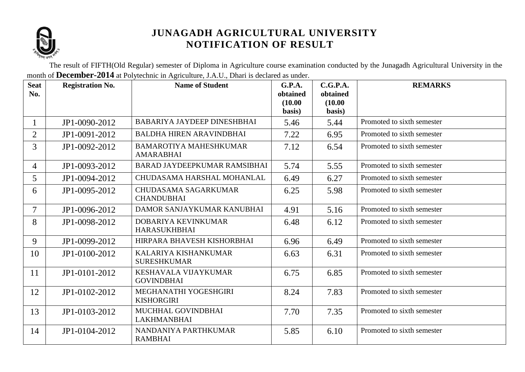

The result of FIFTH(Old Regular) semester of Diploma in Agriculture course examination conducted by the Junagadh Agricultural University in the month of **December-2014** at Polytechnic in Agriculture, J.A.U., Dhari is declared as under.

| <b>Seat</b><br>No. | <b>Registration No.</b> | <b>Name of Student</b>                            | G.P.A.<br>obtained<br>(10.00) | C.G.P.A.<br>obtained<br>(10.00) | <b>REMARKS</b>             |
|--------------------|-------------------------|---------------------------------------------------|-------------------------------|---------------------------------|----------------------------|
|                    |                         |                                                   | basis)                        | basis)                          |                            |
|                    | JP1-0090-2012           | BABARIYA JAYDEEP DINESHBHAI                       | 5.46                          | 5.44                            | Promoted to sixth semester |
| $\overline{2}$     | JP1-0091-2012           | <b>BALDHA HIREN ARAVINDBHAI</b>                   | 7.22                          | 6.95                            | Promoted to sixth semester |
| 3                  | JP1-0092-2012           | <b>BAMAROTIYA MAHESHKUMAR</b><br><b>AMARABHAI</b> | 7.12                          | 6.54                            | Promoted to sixth semester |
| 4                  | JP1-0093-2012           | BARAD JAYDEEPKUMAR RAMSIBHAI                      | 5.74                          | 5.55                            | Promoted to sixth semester |
| 5                  | JP1-0094-2012           | CHUDASAMA HARSHAL MOHANLAL                        | 6.49                          | 6.27                            | Promoted to sixth semester |
| 6                  | JP1-0095-2012           | CHUDASAMA SAGARKUMAR<br><b>CHANDUBHAI</b>         | 6.25                          | 5.98                            | Promoted to sixth semester |
| $\tau$             | JP1-0096-2012           | DAMOR SANJAYKUMAR KANUBHAI                        | 4.91                          | 5.16                            | Promoted to sixth semester |
| 8                  | JP1-0098-2012           | DOBARIYA KEVINKUMAR<br><b>HARASUKHBHAI</b>        | 6.48                          | 6.12                            | Promoted to sixth semester |
| 9                  | JP1-0099-2012           | HIRPARA BHAVESH KISHORBHAI                        | 6.96                          | 6.49                            | Promoted to sixth semester |
| 10                 | JP1-0100-2012           | KALARIYA KISHANKUMAR<br><b>SURESHKUMAR</b>        | 6.63                          | 6.31                            | Promoted to sixth semester |
| 11                 | JP1-0101-2012           | KESHAVALA VIJAYKUMAR<br><b>GOVINDBHAI</b>         | 6.75                          | 6.85                            | Promoted to sixth semester |
| 12                 | JP1-0102-2012           | MEGHANATHI YOGESHGIRI<br><b>KISHORGIRI</b>        | 8.24                          | 7.83                            | Promoted to sixth semester |
| 13                 | JP1-0103-2012           | MUCHHAL GOVINDBHAI<br><b>LAKHMANBHAI</b>          | 7.70                          | 7.35                            | Promoted to sixth semester |
| 14                 | JP1-0104-2012           | NANDANIYA PARTHKUMAR<br><b>RAMBHAI</b>            | 5.85                          | 6.10                            | Promoted to sixth semester |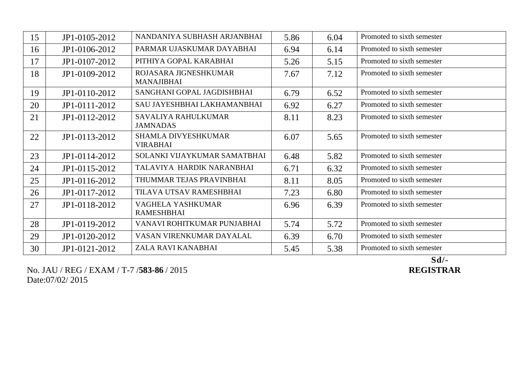| 15 | JP1-0105-2012 | NANDANIYA SUBHASH ARJANBHAI                | 5.86 | 6.04 | Promoted to sixth semester |
|----|---------------|--------------------------------------------|------|------|----------------------------|
| 16 | JP1-0106-2012 | PARMAR UJASKUMAR DAYABHAI                  | 6.94 | 6.14 | Promoted to sixth semester |
| 17 | JP1-0107-2012 | PITHIYA GOPAL KARABHAI                     | 5.26 | 5.15 | Promoted to sixth semester |
| 18 | JP1-0109-2012 | ROJASARA JIGNESHKUMAR<br><b>MANAJIBHAI</b> | 7.67 | 7.12 | Promoted to sixth semester |
| 19 | JP1-0110-2012 | SANGHANI GOPAL JAGDISHBHAI                 | 6.79 | 6.52 | Promoted to sixth semester |
| 20 | JP1-0111-2012 | SAU JAYESHBHAI LAKHAMANBHAI                | 6.92 | 6.27 | Promoted to sixth semester |
| 21 | JP1-0112-2012 | SAVALIYA RAHULKUMAR<br><b>JAMNADAS</b>     | 8.11 | 8.23 | Promoted to sixth semester |
| 22 | JP1-0113-2012 | SHAMLA DIVYESHKUMAR<br><b>VIRABHAI</b>     | 6.07 | 5.65 | Promoted to sixth semester |
| 23 | JP1-0114-2012 | SOLANKI VIJAYKUMAR SAMATBHAI               | 6.48 | 5.82 | Promoted to sixth semester |
| 24 | JP1-0115-2012 | TALAVIYA HARDIK NARANBHAI                  | 6.71 | 6.32 | Promoted to sixth semester |
| 25 | JP1-0116-2012 | THUMMAR TEJAS PRAVINBHAI                   | 8.11 | 8.05 | Promoted to sixth semester |
| 26 | JP1-0117-2012 | TILAVA UTSAV RAMESHBHAI                    | 7.23 | 6.80 | Promoted to sixth semester |
| 27 | JP1-0118-2012 | VAGHELA YASHKUMAR<br><b>RAMESHBHAI</b>     | 6.96 | 6.39 | Promoted to sixth semester |
| 28 | JP1-0119-2012 | VANAVI ROHITKUMAR PUNJABHAI                | 5.74 | 5.72 | Promoted to sixth semester |
| 29 | JP1-0120-2012 | VASAN VIRENKUMAR DAYALAL                   | 6.39 | 6.70 | Promoted to sixth semester |
| 30 | JP1-0121-2012 | ZALA RAVI KANABHAI                         | 5.45 | 5.38 | Promoted to sixth semester |

No. JAU / REG / EXAM / T-7 /**583-86** / 2015 **REGISTRAR** Date:07/02/ 2015

Sd/-<br>REGISTRAR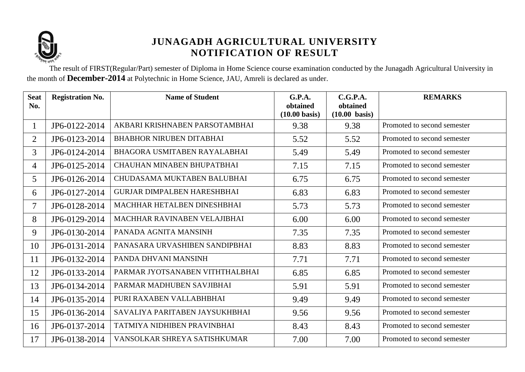

The result of FIRST(Regular/Part) semester of Diploma in Home Science course examination conducted by the Junagadh Agricultural University in the month of **December-2014** at Polytechnic in Home Science, JAU, Amreli is declared as under.

| <b>Seat</b><br>No. | <b>Registration No.</b> | <b>Name of Student</b>             | G.P.A.<br>obtained<br>$(10.00 \text{ basis})$ | C.G.P.A.<br>obtained<br>$(10.00 \text{ basis})$ | <b>REMARKS</b>              |
|--------------------|-------------------------|------------------------------------|-----------------------------------------------|-------------------------------------------------|-----------------------------|
| $\mathbf{1}$       | JP6-0122-2014           | AKBARI KRISHNABEN PARSOTAMBHAI     | 9.38                                          | 9.38                                            | Promoted to second semester |
| $\overline{2}$     | JP6-0123-2014           | <b>BHABHOR NIRUBEN DITABHAI</b>    | 5.52                                          | 5.52                                            | Promoted to second semester |
| 3                  | JP6-0124-2014           | BHAGORA USMITABEN RAYALABHAI       | 5.49                                          | 5.49                                            | Promoted to second semester |
| $\overline{4}$     | JP6-0125-2014           | CHAUHAN MINABEN BHUPATBHAI         | 7.15                                          | 7.15                                            | Promoted to second semester |
| 5                  | JP6-0126-2014           | CHUDASAMA MUKTABEN BALUBHAI        | 6.75                                          | 6.75                                            | Promoted to second semester |
| 6                  | JP6-0127-2014           | <b>GURJAR DIMPALBEN HARESHBHAI</b> | 6.83                                          | 6.83                                            | Promoted to second semester |
| 7                  | JP6-0128-2014           | MACHHAR HETALBEN DINESHBHAI        | 5.73                                          | 5.73                                            | Promoted to second semester |
| 8                  | JP6-0129-2014           | MACHHAR RAVINABEN VELAJIBHAI       | 6.00                                          | 6.00                                            | Promoted to second semester |
| 9                  | JP6-0130-2014           | PANADA AGNITA MANSINH              | 7.35                                          | 7.35                                            | Promoted to second semester |
| 10                 | JP6-0131-2014           | PANASARA URVASHIBEN SANDIPBHAI     | 8.83                                          | 8.83                                            | Promoted to second semester |
| 11                 | JP6-0132-2014           | PANDA DHVANI MANSINH               | 7.71                                          | 7.71                                            | Promoted to second semester |
| 12                 | JP6-0133-2014           | PARMAR JYOTSANABEN VITHTHALBHAI    | 6.85                                          | 6.85                                            | Promoted to second semester |
| 13                 | JP6-0134-2014           | PARMAR MADHUBEN SAVJIBHAI          | 5.91                                          | 5.91                                            | Promoted to second semester |
| 14                 | JP6-0135-2014           | PURI RAXABEN VALLABHBHAI           | 9.49                                          | 9.49                                            | Promoted to second semester |
| 15                 | JP6-0136-2014           | SAVALIYA PARITABEN JAYSUKHBHAI     | 9.56                                          | 9.56                                            | Promoted to second semester |
| 16                 | JP6-0137-2014           | TATMIYA NIDHIBEN PRAVINBHAI        | 8.43                                          | 8.43                                            | Promoted to second semester |
| 17                 | JP6-0138-2014           | VANSOLKAR SHREYA SATISHKUMAR       | 7.00                                          | 7.00                                            | Promoted to second semester |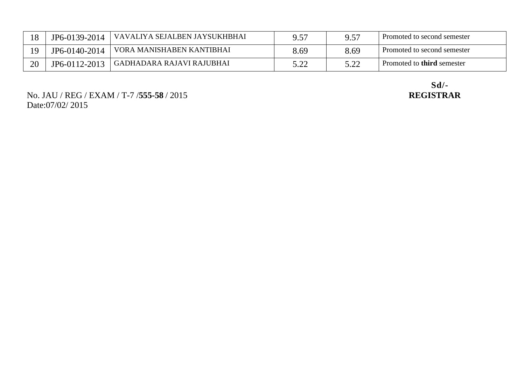|    | JP6-0139-2014 | VAVALIYA SEJALBEN JAYSUKHBHAI | a 57 | 957  | Promoted to second semester       |
|----|---------------|-------------------------------|------|------|-----------------------------------|
|    | JP6-0140-2014 | VORA MANISHABEN KANTIBHAI     | 8.69 | 8.69 | Promoted to second semester       |
| 20 | JP6-0112-2013 | ' GADHADARA RAJAVI RAJUBHAI   | ר ה  | 5.00 | Promoted to <b>third</b> semester |

No. JAU / REG / EXAM / T-7 /**555-58** / 2015 **REGISTRAR** Date:07/02/ 2015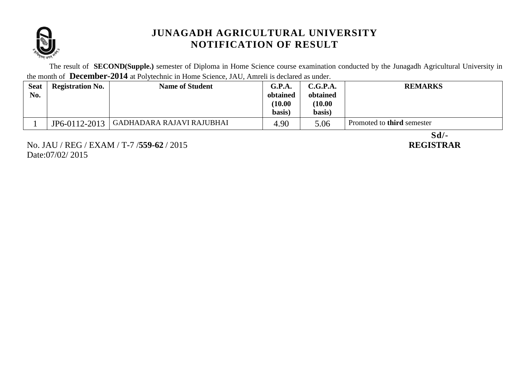

The result of **SECOND(Supple.)** semester of Diploma in Home Science course examination conducted by the Junagadh Agricultural University in the month of **December-2014** at Polytechnic in Home Science, JAU, Amreli is declared as under.

| <b>Seat</b><br>No. | <b>Registration No.</b> | <b>Name of Student</b>    | G.P.A.<br>obtained<br>(10.00)<br>basis) | C.G.P.A.<br>obtained<br>(10.00)<br>basis) | <b>REMARKS</b>                    |
|--------------------|-------------------------|---------------------------|-----------------------------------------|-------------------------------------------|-----------------------------------|
|                    |                         |                           |                                         |                                           |                                   |
|                    | JP6-0112-2013           | GADHADARA RAJAVI RAJUBHAI | 4.90                                    | 5.06                                      | Promoted to <b>third</b> semester |

No. JAU / REG / EXAM / T-7 /**559-62** / 2015 **REGISTRAR** Date:07/02/ 2015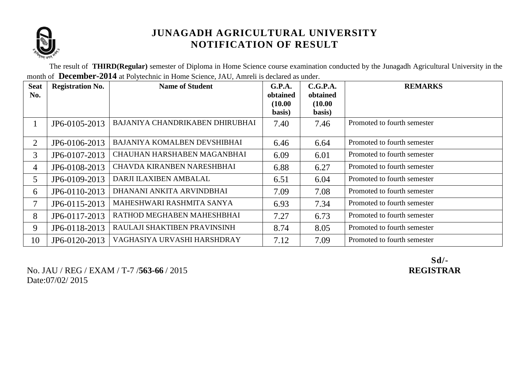

The result of **THIRD(Regular)** semester of Diploma in Home Science course examination conducted by the Junagadh Agricultural University in the month of **December-2014** at Polytechnic in Home Science, JAU, Amreli is declared as under.

| <b>Seat</b><br>No. | <b>Registration No.</b> | <b>Name of Student</b>          | G.P.A.<br>obtained<br>(10.00)<br>basis) | C.G.P.A.<br>obtained<br>(10.00)<br>basis) | <b>REMARKS</b>              |
|--------------------|-------------------------|---------------------------------|-----------------------------------------|-------------------------------------------|-----------------------------|
|                    | JP6-0105-2013           | BAJANIYA CHANDRIKABEN DHIRUBHAI | 7.40                                    | 7.46                                      | Promoted to fourth semester |
| $\overline{2}$     | JP6-0106-2013           | BAJANIYA KOMALBEN DEVSHIBHAI    | 6.46                                    | 6.64                                      | Promoted to fourth semester |
| 3                  | JP6-0107-2013           | CHAUHAN HARSHABEN MAGANBHAI     | 6.09                                    | 6.01                                      | Promoted to fourth semester |
| $\overline{4}$     | JP6-0108-2013           | CHAVDA KIRANBEN NARESHBHAI      | 6.88                                    | 6.27                                      | Promoted to fourth semester |
| 5                  | JP6-0109-2013           | DARJI ILAXIBEN AMBALAL          | 6.51                                    | 6.04                                      | Promoted to fourth semester |
| 6                  | JP6-0110-2013           | DHANANI ANKITA ARVINDBHAI       | 7.09                                    | 7.08                                      | Promoted to fourth semester |
| 7                  | JP6-0115-2013           | MAHESHWARI RASHMITA SANYA       | 6.93                                    | 7.34                                      | Promoted to fourth semester |
| 8                  | JP6-0117-2013           | RATHOD MEGHABEN MAHESHBHAI      | 7.27                                    | 6.73                                      | Promoted to fourth semester |
| 9                  | JP6-0118-2013           | RAULAJI SHAKTIBEN PRAVINSINH    | 8.74                                    | 8.05                                      | Promoted to fourth semester |
| 10                 | JP6-0120-2013           | VAGHASIYA URVASHI HARSHDRAY     | 7.12                                    | 7.09                                      | Promoted to fourth semester |

No. JAU / REG / EXAM / T-7 /**563-66** / 2015 **REGISTRAR** Date:07/02/ 2015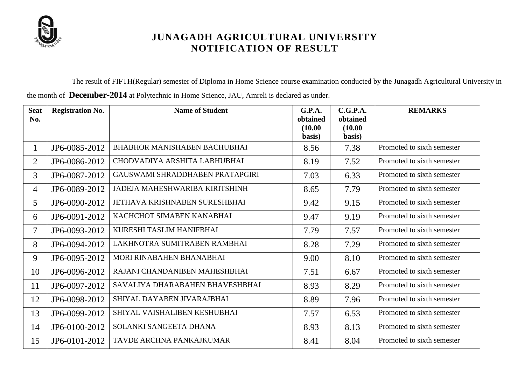

The result of FIFTH(Regular) semester of Diploma in Home Science course examination conducted by the Junagadh Agricultural University in

the month of **December-2014** at Polytechnic in Home Science, JAU, Amreli is declared as under.

| <b>Seat</b><br>No. | <b>Registration No.</b> | <b>Name of Student</b>              | <b>G.P.A.</b><br>obtained<br>(10.00) | C.G.P.A.<br>obtained<br>(10.00) | <b>REMARKS</b>             |
|--------------------|-------------------------|-------------------------------------|--------------------------------------|---------------------------------|----------------------------|
|                    |                         |                                     | basis)                               | basis)                          |                            |
| $\perp$            | JP6-0085-2012           | <b>BHABHOR MANISHABEN BACHUBHAI</b> | 8.56                                 | 7.38                            | Promoted to sixth semester |
| $\overline{2}$     | JP6-0086-2012           | CHODVADIYA ARSHITA LABHUBHAI        | 8.19                                 | 7.52                            | Promoted to sixth semester |
| 3                  | JP6-0087-2012           | GAUSWAMI SHRADDHABEN PRATAPGIRI     | 7.03                                 | 6.33                            | Promoted to sixth semester |
| 4                  | JP6-0089-2012           | JADEJA MAHESHWARIBA KIRITSHINH      | 8.65                                 | 7.79                            | Promoted to sixth semester |
| 5                  | JP6-0090-2012           | JETHAVA KRISHNABEN SURESHBHAI       | 9.42                                 | 9.15                            | Promoted to sixth semester |
| 6                  | JP6-0091-2012           | KACHCHOT SIMABEN KANABHAI           | 9.47                                 | 9.19                            | Promoted to sixth semester |
| 7                  | JP6-0093-2012           | KURESHI TASLIM HANIFBHAI            | 7.79                                 | 7.57                            | Promoted to sixth semester |
| 8                  | JP6-0094-2012           | LAKHNOTRA SUMITRABEN RAMBHAI        | 8.28                                 | 7.29                            | Promoted to sixth semester |
| 9                  | JP6-0095-2012           | MORI RINABAHEN BHANABHAI            | 9.00                                 | 8.10                            | Promoted to sixth semester |
| 10                 | JP6-0096-2012           | RAJANI CHANDANIBEN MAHESHBHAI       | 7.51                                 | 6.67                            | Promoted to sixth semester |
| 11                 | JP6-0097-2012           | SAVALIYA DHARABAHEN BHAVESHBHAI     | 8.93                                 | 8.29                            | Promoted to sixth semester |
| 12                 | JP6-0098-2012           | SHIYAL DAYABEN JIVARAJBHAI          | 8.89                                 | 7.96                            | Promoted to sixth semester |
| 13                 | JP6-0099-2012           | SHIYAL VAISHALIBEN KESHUBHAI        | 7.57                                 | 6.53                            | Promoted to sixth semester |
| 14                 | JP6-0100-2012           | SOLANKI SANGEETA DHANA              | 8.93                                 | 8.13                            | Promoted to sixth semester |
| 15                 | JP6-0101-2012           | TAVDE ARCHNA PANKAJKUMAR            | 8.41                                 | 8.04                            | Promoted to sixth semester |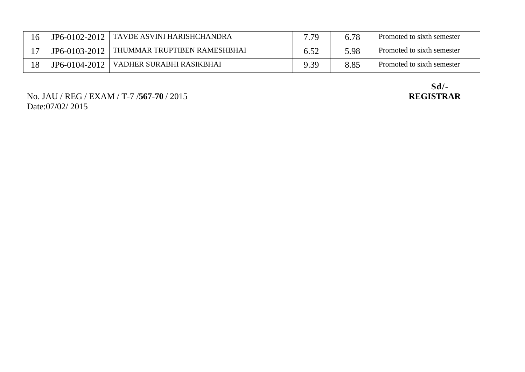| 16 | $JP6-0102-2012$ | ' TAVDE ASVINI HARISHCHANDRA | 7.79 | 6.78 | Promoted to sixth semester |
|----|-----------------|------------------------------|------|------|----------------------------|
|    | $JP6-0103-2012$ | THUMMAR TRUPTIBEN RAMESHBHAI |      | 5.98 | Promoted to sixth semester |
| 18 | JP6-0104-2012   | VADHER SURABHI RASIKBHAI     | 9.39 | 8.85 | Promoted to sixth semester |

No. JAU / REG / EXAM / T-7 /**567-70** / 2015 Date:07/02/ 2015

Sd/-<br>REGISTRAR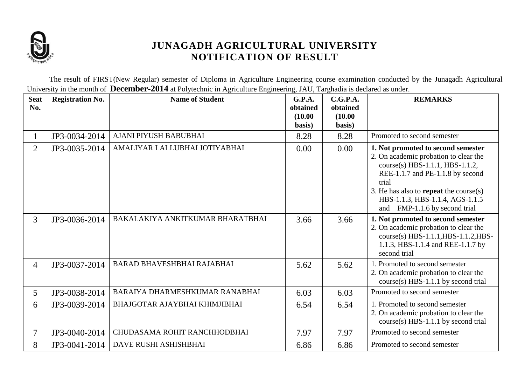

The result of FIRST(New Regular) semester of Diploma in Agriculture Engineering course examination conducted by the Junagadh Agricultural University in the month of **December-2014** at Polytechnic in Agriculture Engineering, JAU, Targhadia is declared as under.

| <b>Seat</b><br>No. | <b>Registration No.</b> | <b>Name of Student</b>           | <b>G.P.A.</b><br>obtained<br>(10.00)<br>basis) | C.G.P.A.<br>obtained<br>(10.00)<br>basis) | <b>REMARKS</b>                                                                                                                                                                                                                                                                   |
|--------------------|-------------------------|----------------------------------|------------------------------------------------|-------------------------------------------|----------------------------------------------------------------------------------------------------------------------------------------------------------------------------------------------------------------------------------------------------------------------------------|
| 1                  | JP3-0034-2014           | AJANI PIYUSH BABUBHAI            | 8.28                                           | 8.28                                      | Promoted to second semester                                                                                                                                                                                                                                                      |
| $\overline{2}$     | JP3-0035-2014           | AMALIYAR LALLUBHAI JOTIYABHAI    | 0.00                                           | 0.00                                      | 1. Not promoted to second semester<br>2. On academic probation to clear the<br>course(s) HBS-1.1.1, HBS-1.1.2,<br>REE-1.1.7 and PE-1.1.8 by second<br>trial<br>3. He has also to <b>repeat</b> the course(s)<br>HBS-1.1.3, HBS-1.1.4, AGS-1.1.5<br>and FMP-1.1.6 by second trial |
| 3                  | JP3-0036-2014           | BAKALAKIYA ANKITKUMAR BHARATBHAI | 3.66                                           | 3.66                                      | 1. Not promoted to second semester<br>2. On academic probation to clear the<br>course(s) HBS-1.1.1, HBS-1.1.2, HBS-<br>1.1.3, HBS-1.1.4 and REE-1.1.7 by<br>second trial                                                                                                         |
| $\overline{4}$     | JP3-0037-2014           | BARAD BHAVESHBHAI RAJABHAI       | 5.62                                           | 5.62                                      | 1. Promoted to second semester<br>2. On academic probation to clear the<br>$course(s) HBS-1.1.1$ by second trial                                                                                                                                                                 |
| 5                  | JP3-0038-2014           | BARAIYA DHARMESHKUMAR RANABHAI   | 6.03                                           | 6.03                                      | Promoted to second semester                                                                                                                                                                                                                                                      |
| 6                  | JP3-0039-2014           | BHAJGOTAR AJAYBHAI KHIMJIBHAI    | 6.54                                           | 6.54                                      | 1. Promoted to second semester<br>2. On academic probation to clear the<br>course(s) HBS-1.1.1 by second trial                                                                                                                                                                   |
| 7                  | JP3-0040-2014           | CHUDASAMA ROHIT RANCHHODBHAI     | 7.97                                           | 7.97                                      | Promoted to second semester                                                                                                                                                                                                                                                      |
| 8                  | JP3-0041-2014           | DAVE RUSHI ASHISHBHAI            | 6.86                                           | 6.86                                      | Promoted to second semester                                                                                                                                                                                                                                                      |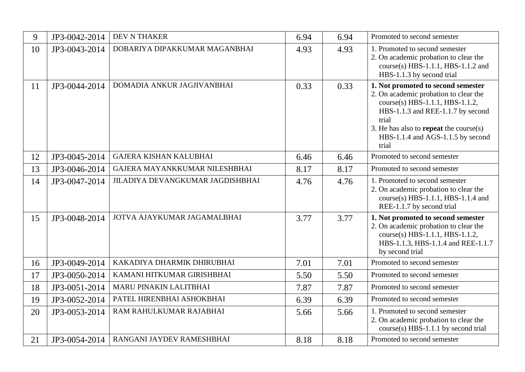| 9  | JP3-0042-2014 | <b>DEV N THAKER</b>              | 6.94 | 6.94 | Promoted to second semester                                                                                                                                                                                                                                 |
|----|---------------|----------------------------------|------|------|-------------------------------------------------------------------------------------------------------------------------------------------------------------------------------------------------------------------------------------------------------------|
| 10 | JP3-0043-2014 | DOBARIYA DIPAKKUMAR MAGANBHAI    | 4.93 | 4.93 | 1. Promoted to second semester<br>2. On academic probation to clear the<br>course(s) HBS-1.1.1, HBS-1.1.2 and<br>HBS-1.1.3 by second trial                                                                                                                  |
| 11 | JP3-0044-2014 | DOMADIA ANKUR JAGJIVANBHAI       | 0.33 | 0.33 | 1. Not promoted to second semester<br>2. On academic probation to clear the<br>course(s) HBS-1.1.1, HBS-1.1.2,<br>HBS-1.1.3 and REE-1.1.7 by second<br>trial<br>3. He has also to <b>repeat</b> the course(s)<br>HBS-1.1.4 and AGS-1.1.5 by second<br>trial |
| 12 | JP3-0045-2014 | <b>GAJERA KISHAN KALUBHAI</b>    | 6.46 | 6.46 | Promoted to second semester                                                                                                                                                                                                                                 |
| 13 | JP3-0046-2014 | GAJERA MAYANKKUMAR NILESHBHAI    | 8.17 | 8.17 | Promoted to second semester                                                                                                                                                                                                                                 |
| 14 | JP3-0047-2014 | JILADIYA DEVANGKUMAR JAGDISHBHAI | 4.76 | 4.76 | 1. Promoted to second semester<br>2. On academic probation to clear the<br>course(s) HBS-1.1.1, HBS-1.1.4 and<br>REE-1.1.7 by second trial                                                                                                                  |
| 15 | JP3-0048-2014 | JOTVA AJAYKUMAR JAGAMALBHAI      | 3.77 | 3.77 | 1. Not promoted to second semester<br>2. On academic probation to clear the<br>course(s) HBS-1.1.1, HBS-1.1.2,<br>HBS-1.1.3, HBS-1.1.4 and REE-1.1.7<br>by second trial                                                                                     |
| 16 | JP3-0049-2014 | KAKADIYA DHARMIK DHIRUBHAI       | 7.01 | 7.01 | Promoted to second semester                                                                                                                                                                                                                                 |
| 17 | JP3-0050-2014 | KAMANI HITKUMAR GIRISHBHAI       | 5.50 | 5.50 | Promoted to second semester                                                                                                                                                                                                                                 |
| 18 | JP3-0051-2014 | MARU PINAKIN LALITBHAI           | 7.87 | 7.87 | Promoted to second semester                                                                                                                                                                                                                                 |
| 19 | JP3-0052-2014 | PATEL HIRENBHAI ASHOKBHAI        | 6.39 | 6.39 | Promoted to second semester                                                                                                                                                                                                                                 |
| 20 | JP3-0053-2014 | RAM RAHULKUMAR RAJABHAI          | 5.66 | 5.66 | 1. Promoted to second semester<br>2. On academic probation to clear the<br>course(s) HBS-1.1.1 by second trial                                                                                                                                              |
| 21 | JP3-0054-2014 | RANGANI JAYDEV RAMESHBHAI        | 8.18 | 8.18 | Promoted to second semester                                                                                                                                                                                                                                 |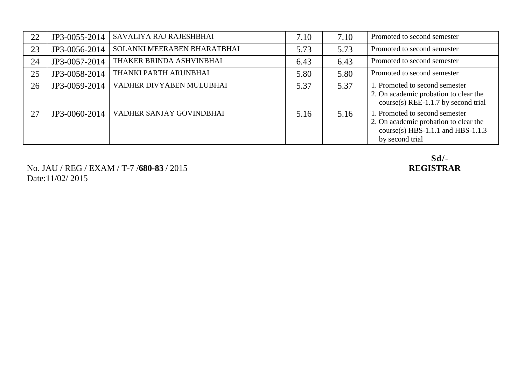| 22 | JP3-0055-2014 | SAVALIYA RAJ RAJESHBHAI     | 7.10 | 7.10 | Promoted to second semester                                                                                                     |
|----|---------------|-----------------------------|------|------|---------------------------------------------------------------------------------------------------------------------------------|
| 23 | JP3-0056-2014 | SOLANKI MEERABEN BHARATBHAI | 5.73 | 5.73 | Promoted to second semester                                                                                                     |
| 24 | JP3-0057-2014 | THAKER BRINDA ASHVINBHAI    | 6.43 | 6.43 | Promoted to second semester                                                                                                     |
| 25 | JP3-0058-2014 | THANKI PARTH ARUNBHAI       | 5.80 | 5.80 | Promoted to second semester                                                                                                     |
| 26 | JP3-0059-2014 | VADHER DIVYABEN MULUBHAI    | 5.37 | 5.37 | 1. Promoted to second semester<br>2. On academic probation to clear the<br>$course(s) REE-1.1.7 by second trial$                |
| 27 | JP3-0060-2014 | VADHER SANJAY GOVINDBHAI    | 5.16 | 5.16 | 1. Promoted to second semester<br>2. On academic probation to clear the<br>course(s) HBS-1.1.1 and HBS-1.1.3<br>by second trial |

No. JAU / REG / EXAM / T-7 /**680-83** / 2015 **REGISTRAR** Date:11/02/ 2015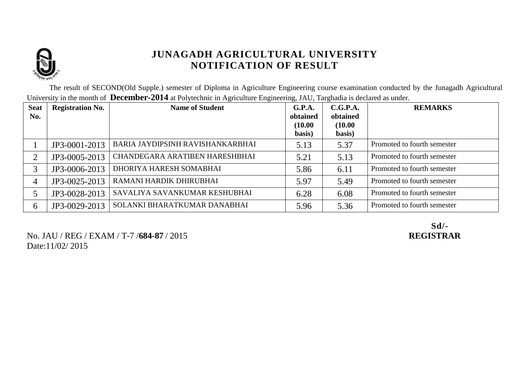

The result of SECOND(Old Supple.) semester of Diploma in Agriculture Engineering course examination conducted by the Junagadh Agricultural University in the month of **December-2014** at Polytechnic in Agriculture Engineering, JAU, Targhadia is declared as under.

| <b>Seat</b><br>No. | <b>Registration No.</b> | <b>Name of Student</b>           | G.P.A.<br>obtained<br>(10.00)<br>basis) | C.G.P.A.<br>obtained<br>(10.00)<br>basis) | <b>REMARKS</b>              |
|--------------------|-------------------------|----------------------------------|-----------------------------------------|-------------------------------------------|-----------------------------|
|                    | JP3-0001-2013           | BARIA JAYDIPSINH RAVISHANKARBHAI | 5.13                                    | 5.37                                      | Promoted to fourth semester |
| ◠                  | JP3-0005-2013           | CHANDEGARA ARATIBEN HARESHBHAI   | 5.21                                    | 5.13                                      | Promoted to fourth semester |
| 3                  | JP3-0006-2013           | DHORIYA HARESH SOMABHAI          | 5.86                                    | 6.11                                      | Promoted to fourth semester |
| 4                  | JP3-0025-2013           | RAMANI HARDIK DHIRUBHAI          | 5.97                                    | 5.49                                      | Promoted to fourth semester |
|                    | JP3-0028-2013           | SAVALIYA SAVANKUMAR KESHUBHAI    | 6.28                                    | 6.08                                      | Promoted to fourth semester |
| 6                  | JP3-0029-2013           | SOLANKI BHARATKUMAR DANABHAI     | 5.96                                    | 5.36                                      | Promoted to fourth semester |

No. JAU / REG / EXAM / T-7 /**684-87** / 2015 **REGISTRAR** Date:11/02/ 2015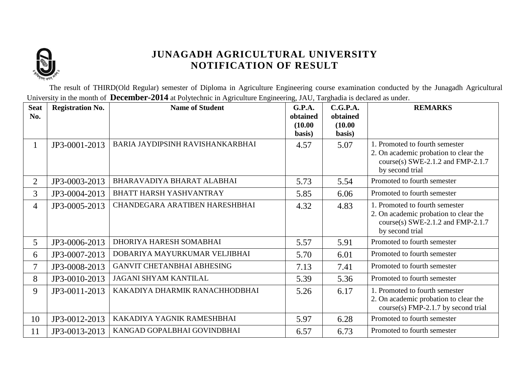

The result of THIRD(Old Regular) semester of Diploma in Agriculture Engineering course examination conducted by the Junagadh Agricultural University in the month of **December-2014** at Polytechnic in Agriculture Engineering, JAU, Targhadia is declared as under.

| <b>Seat</b><br>No. | <b>Registration No.</b> | <b>Name of Student</b>           | <b>G.P.A.</b><br>obtained<br>(10.00) | C.G.P.A.<br>obtained<br>(10.00) | <b>REMARKS</b>                                                                                                                  |
|--------------------|-------------------------|----------------------------------|--------------------------------------|---------------------------------|---------------------------------------------------------------------------------------------------------------------------------|
|                    |                         |                                  | basis)                               | basis)                          |                                                                                                                                 |
| $\mathbf{I}$       | JP3-0001-2013           | BARIA JAYDIPSINH RAVISHANKARBHAI | 4.57                                 | 5.07                            | 1. Promoted to fourth semester<br>2. On academic probation to clear the<br>course(s) SWE-2.1.2 and FMP-2.1.7<br>by second trial |
| $\overline{2}$     | JP3-0003-2013           | BHARAVADIYA BHARAT ALABHAI       | 5.73                                 | 5.54                            | Promoted to fourth semester                                                                                                     |
| $\overline{3}$     | JP3-0004-2013           | <b>BHATT HARSH YASHVANTRAY</b>   | 5.85                                 | 6.06                            | Promoted to fourth semester                                                                                                     |
| 4                  | JP3-0005-2013           | CHANDEGARA ARATIBEN HARESHBHAI   | 4.32                                 | 4.83                            | 1. Promoted to fourth semester<br>2. On academic probation to clear the<br>course(s) SWE-2.1.2 and FMP-2.1.7<br>by second trial |
| 5                  | JP3-0006-2013           | DHORIYA HARESH SOMABHAI          | 5.57                                 | 5.91                            | Promoted to fourth semester                                                                                                     |
| 6                  | JP3-0007-2013           | DOBARIYA MAYURKUMAR VELJIBHAI    | 5.70                                 | 6.01                            | Promoted to fourth semester                                                                                                     |
| $\overline{7}$     | JP3-0008-2013           | GANVIT CHETANBHAI ABHESING       | 7.13                                 | 7.41                            | Promoted to fourth semester                                                                                                     |
| 8                  | JP3-0010-2013           | JAGANI SHYAM KANTILAL            | 5.39                                 | 5.36                            | Promoted to fourth semester                                                                                                     |
| 9                  | JP3-0011-2013           | KAKADIYA DHARMIK RANACHHODBHAI   | 5.26                                 | 6.17                            | 1. Promoted to fourth semester<br>2. On academic probation to clear the<br>course(s) FMP-2.1.7 by second trial                  |
| 10                 | JP3-0012-2013           | KAKADIYA YAGNIK RAMESHBHAI       | 5.97                                 | 6.28                            | Promoted to fourth semester                                                                                                     |
| 11                 | JP3-0013-2013           | KANGAD GOPALBHAI GOVINDBHAI      | 6.57                                 | 6.73                            | Promoted to fourth semester                                                                                                     |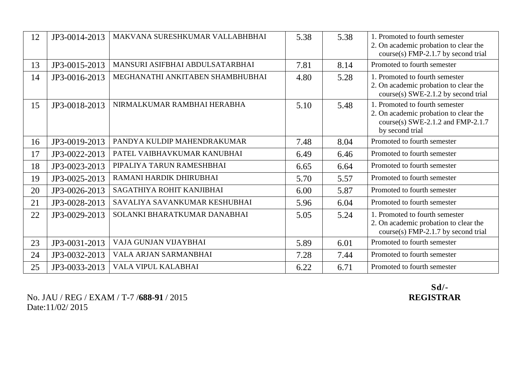| 12 | JP3-0014-2013 | MAKVANA SURESHKUMAR VALLABHBHAI  | 5.38 | 5.38 | 1. Promoted to fourth semester<br>2. On academic probation to clear the<br>course(s) FMP-2.1.7 by second trial                  |
|----|---------------|----------------------------------|------|------|---------------------------------------------------------------------------------------------------------------------------------|
| 13 | JP3-0015-2013 | MANSURI ASIFBHAI ABDULSATARBHAI  | 7.81 | 8.14 | Promoted to fourth semester                                                                                                     |
| 14 | JP3-0016-2013 | MEGHANATHI ANKITABEN SHAMBHUBHAI | 4.80 | 5.28 | 1. Promoted to fourth semester<br>2. On academic probation to clear the<br>course(s) SWE-2.1.2 by second trial                  |
| 15 | JP3-0018-2013 | NIRMALKUMAR RAMBHAI HERABHA      | 5.10 | 5.48 | 1. Promoted to fourth semester<br>2. On academic probation to clear the<br>course(s) SWE-2.1.2 and FMP-2.1.7<br>by second trial |
| 16 | JP3-0019-2013 | PANDYA KULDIP MAHENDRAKUMAR      | 7.48 | 8.04 | Promoted to fourth semester                                                                                                     |
| 17 | JP3-0022-2013 | PATEL VAIBHAVKUMAR KANUBHAI      | 6.49 | 6.46 | Promoted to fourth semester                                                                                                     |
| 18 | JP3-0023-2013 | PIPALIYA TARUN RAMESHBHAI        | 6.65 | 6.64 | Promoted to fourth semester                                                                                                     |
| 19 | JP3-0025-2013 | RAMANI HARDIK DHIRUBHAI          | 5.70 | 5.57 | Promoted to fourth semester                                                                                                     |
| 20 | JP3-0026-2013 | SAGATHIYA ROHIT KANJIBHAI        | 6.00 | 5.87 | Promoted to fourth semester                                                                                                     |
| 21 | JP3-0028-2013 | SAVALIYA SAVANKUMAR KESHUBHAI    | 5.96 | 6.04 | Promoted to fourth semester                                                                                                     |
| 22 | JP3-0029-2013 | SOLANKI BHARATKUMAR DANABHAI     | 5.05 | 5.24 | 1. Promoted to fourth semester<br>2. On academic probation to clear the<br>$course(s) FMP-2.1.7 by second trial$                |
| 23 | JP3-0031-2013 | VAJA GUNJAN VIJAYBHAI            | 5.89 | 6.01 | Promoted to fourth semester                                                                                                     |
| 24 | JP3-0032-2013 | VALA ARJAN SARMANBHAI            | 7.28 | 7.44 | Promoted to fourth semester                                                                                                     |
| 25 | JP3-0033-2013 | VALA VIPUL KALABHAI              | 6.22 | 6.71 | Promoted to fourth semester                                                                                                     |

No. JAU / REG / EXAM / T-7 / **688-91** / 2015 Date:11/02/ 2015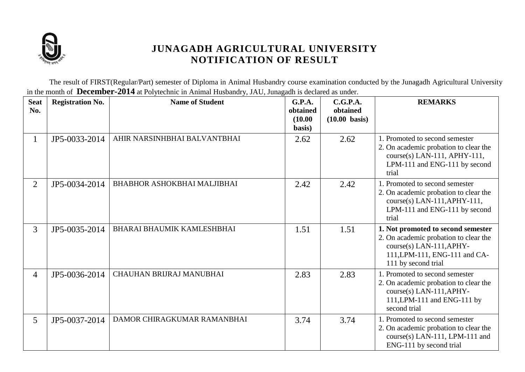

The result of FIRST(Regular/Part) semester of Diploma in Animal Husbandry course examination conducted by the Junagadh Agricultural University in the month of **December-2014** at Polytechnic in Animal Husbandry, JAU, Junagadh is declared as under.

| <b>Seat</b><br>No. | <b>Registration No.</b> | <b>Name of Student</b>            | G.P.A.<br>obtained<br>(10.00)<br>basis) | C.G.P.A.<br>obtained<br>$(10.00 \text{ basis})$ | <b>REMARKS</b>                                                                                                                                                    |
|--------------------|-------------------------|-----------------------------------|-----------------------------------------|-------------------------------------------------|-------------------------------------------------------------------------------------------------------------------------------------------------------------------|
| $\mathbf{I}$       | JP5-0033-2014           | AHIR NARSINHBHAI BALVANTBHAI      | 2.62                                    | 2.62                                            | 1. Promoted to second semester<br>2. On academic probation to clear the<br>course(s) LAN-111, APHY-111,<br>LPM-111 and ENG-111 by second<br>trial                 |
| $\overline{2}$     | JP5-0034-2014           | BHABHOR ASHOKBHAI MALJIBHAI       | 2.42                                    | 2.42                                            | 1. Promoted to second semester<br>2. On academic probation to clear the<br>$course(s)$ LAN-111, APHY-111,<br>LPM-111 and ENG-111 by second<br>trial               |
| $\overline{3}$     | JP5-0035-2014           | <b>BHARAI BHAUMIK KAMLESHBHAI</b> | 1.51                                    | 1.51                                            | 1. Not promoted to second semester<br>2. On academic probation to clear the<br>$course(s)$ LAN-111, APHY-<br>111, LPM-111, ENG-111 and CA-<br>111 by second trial |
| $\overline{4}$     | JP5-0036-2014           | CHAUHAN BRIJRAJ MANUBHAI          | 2.83                                    | 2.83                                            | 1. Promoted to second semester<br>2. On academic probation to clear the<br>course(s) LAN-111, APHY-<br>111, LPM-111 and ENG-111 by<br>second trial                |
| 5                  | JP5-0037-2014           | DAMOR CHIRAGKUMAR RAMANBHAI       | 3.74                                    | 3.74                                            | 1. Promoted to second semester<br>2. On academic probation to clear the<br>course(s) LAN-111, LPM-111 and<br>ENG-111 by second trial                              |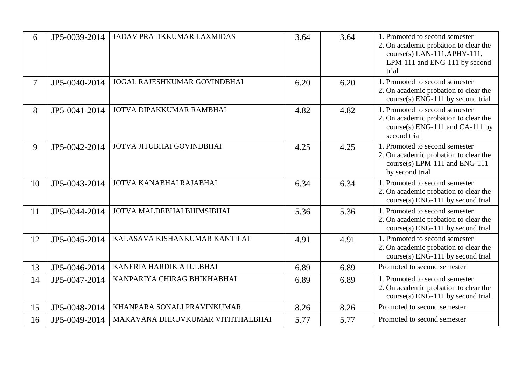| 6              | JP5-0039-2014 | <b>JADAV PRATIKKUMAR LAXMIDAS</b>   | 3.64 | 3.64 | 1. Promoted to second semester<br>2. On academic probation to clear the<br>course(s) LAN-111, APHY-111,<br>LPM-111 and ENG-111 by second<br>trial |
|----------------|---------------|-------------------------------------|------|------|---------------------------------------------------------------------------------------------------------------------------------------------------|
| $\overline{7}$ | JP5-0040-2014 | <b>JOGAL RAJESHKUMAR GOVINDBHAI</b> | 6.20 | 6.20 | 1. Promoted to second semester<br>2. On academic probation to clear the<br>course(s) ENG-111 by second trial                                      |
| 8              | JP5-0041-2014 | JOTVA DIPAKKUMAR RAMBHAI            | 4.82 | 4.82 | 1. Promoted to second semester<br>2. On academic probation to clear the<br>course(s) ENG-111 and CA-111 by<br>second trial                        |
| 9              | JP5-0042-2014 | JOTVA JITUBHAI GOVINDBHAI           | 4.25 | 4.25 | 1. Promoted to second semester<br>2. On academic probation to clear the<br>course(s) LPM-111 and ENG-111<br>by second trial                       |
| 10             | JP5-0043-2014 | JOTVA KANABHAI RAJABHAI             | 6.34 | 6.34 | 1. Promoted to second semester<br>2. On academic probation to clear the<br>course(s) ENG-111 by second trial                                      |
| 11             | JP5-0044-2014 | JOTVA MALDEBHAI BHIMSIBHAI          | 5.36 | 5.36 | 1. Promoted to second semester<br>2. On academic probation to clear the<br>course(s) ENG-111 by second trial                                      |
| 12             | JP5-0045-2014 | KALASAVA KISHANKUMAR KANTILAL       | 4.91 | 4.91 | 1. Promoted to second semester<br>2. On academic probation to clear the<br>course(s) ENG-111 by second trial                                      |
| 13             | JP5-0046-2014 | KANERIA HARDIK ATULBHAI             | 6.89 | 6.89 | Promoted to second semester                                                                                                                       |
| 14             | JP5-0047-2014 | KANPARIYA CHIRAG BHIKHABHAI         | 6.89 | 6.89 | 1. Promoted to second semester<br>2. On academic probation to clear the<br>course(s) ENG-111 by second trial                                      |
| 15             | JP5-0048-2014 | KHANPARA SONALI PRAVINKUMAR         | 8.26 | 8.26 | Promoted to second semester                                                                                                                       |
| 16             | JP5-0049-2014 | MAKAVANA DHRUVKUMAR VITHTHALBHAI    | 5.77 | 5.77 | Promoted to second semester                                                                                                                       |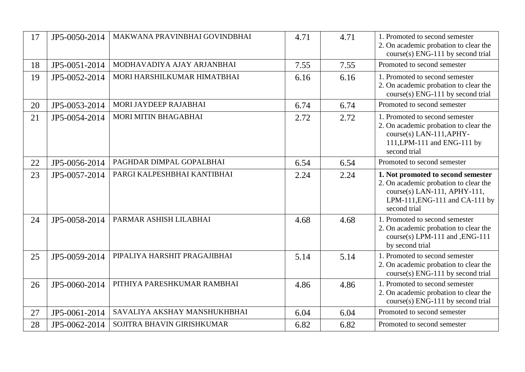| 17 | JP5-0050-2014 | MAKWANA PRAVINBHAI GOVINDBHAI | 4.71 | 4.71 | 1. Promoted to second semester<br>2. On academic probation to clear the<br>course(s) ENG-111 by second trial                                                  |
|----|---------------|-------------------------------|------|------|---------------------------------------------------------------------------------------------------------------------------------------------------------------|
| 18 | JP5-0051-2014 | MODHAVADIYA AJAY ARJANBHAI    | 7.55 | 7.55 | Promoted to second semester                                                                                                                                   |
| 19 | JP5-0052-2014 | MORI HARSHILKUMAR HIMATBHAI   | 6.16 | 6.16 | 1. Promoted to second semester<br>2. On academic probation to clear the<br>course(s) ENG-111 by second trial                                                  |
| 20 | JP5-0053-2014 | MORI JAYDEEP RAJABHAI         | 6.74 | 6.74 | Promoted to second semester                                                                                                                                   |
| 21 | JP5-0054-2014 | MORI MITIN BHAGABHAI          | 2.72 | 2.72 | 1. Promoted to second semester<br>2. On academic probation to clear the<br>course(s) LAN-111, APHY-<br>111, LPM-111 and ENG-111 by<br>second trial            |
| 22 | JP5-0056-2014 | PAGHDAR DIMPAL GOPALBHAI      | 6.54 | 6.54 | Promoted to second semester                                                                                                                                   |
| 23 | JP5-0057-2014 | PARGI KALPESHBHAI KANTIBHAI   | 2.24 | 2.24 | 1. Not promoted to second semester<br>2. On academic probation to clear the<br>course(s) LAN-111, APHY-111,<br>LPM-111, ENG-111 and CA-111 by<br>second trial |
| 24 | JP5-0058-2014 | PARMAR ASHISH LILABHAI        | 4.68 | 4.68 | 1. Promoted to second semester<br>2. On academic probation to clear the<br>course(s) LPM-111 and , ENG-111<br>by second trial                                 |
| 25 | JP5-0059-2014 | PIPALIYA HARSHIT PRAGAJIBHAI  | 5.14 | 5.14 | 1. Promoted to second semester<br>2. On academic probation to clear the<br>course(s) ENG-111 by second trial                                                  |
| 26 | JP5-0060-2014 | PITHIYA PARESHKUMAR RAMBHAI   | 4.86 | 4.86 | 1. Promoted to second semester<br>2. On academic probation to clear the<br>course(s) ENG-111 by second trial                                                  |
| 27 | JP5-0061-2014 | SAVALIYA AKSHAY MANSHUKHBHAI  | 6.04 | 6.04 | Promoted to second semester                                                                                                                                   |
| 28 | JP5-0062-2014 | SOJITRA BHAVIN GIRISHKUMAR    | 6.82 | 6.82 | Promoted to second semester                                                                                                                                   |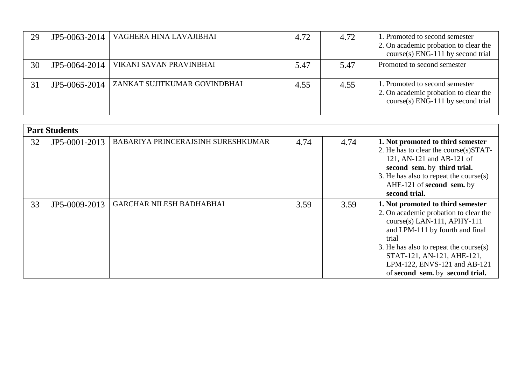| 29 | JP5-0063-2014 | VAGHERA HINA LAVAJIBHAI      | 4.72 | 4.72 | 1. Promoted to second semester<br>2. On academic probation to clear the<br>$course(s)$ ENG-111 by second trial |
|----|---------------|------------------------------|------|------|----------------------------------------------------------------------------------------------------------------|
| 30 | JP5-0064-2014 | VIKANI SAVAN PRAVINBHAI      | 5.47 | 5.47 | Promoted to second semester                                                                                    |
| 31 | JP5-0065-2014 | ZANKAT SUJITKUMAR GOVINDBHAI | 4.55 | 4.55 | 1. Promoted to second semester<br>2. On academic probation to clear the<br>$course(s)$ ENG-111 by second trial |

|    | <b>Part Students</b> |                                    |      |      |                                                                                                                                                                                                                                                                                                       |  |  |  |
|----|----------------------|------------------------------------|------|------|-------------------------------------------------------------------------------------------------------------------------------------------------------------------------------------------------------------------------------------------------------------------------------------------------------|--|--|--|
| 32 | JP5-0001-2013        | BABARIYA PRINCERAJSINH SURESHKUMAR | 4.74 | 4.74 | 1. Not promoted to third semester<br>2. He has to clear the course(s)STAT-<br>121, AN-121 and AB-121 of<br>second sem. by third trial.<br>3. He has also to repeat the course $(s)$<br>AHE-121 of second sem. by<br>second trial.                                                                     |  |  |  |
| 33 | JP5-0009-2013        | <b>GARCHAR NILESH BADHABHAI</b>    | 3.59 | 3.59 | 1. Not promoted to third semester<br>2. On academic probation to clear the<br>$course(s)$ LAN-111, APHY-111<br>and LPM-111 by fourth and final<br>trial<br>3. He has also to repeat the course $(s)$<br>STAT-121, AN-121, AHE-121,<br>LPM-122, ENVS-121 and AB-121<br>of second sem. by second trial. |  |  |  |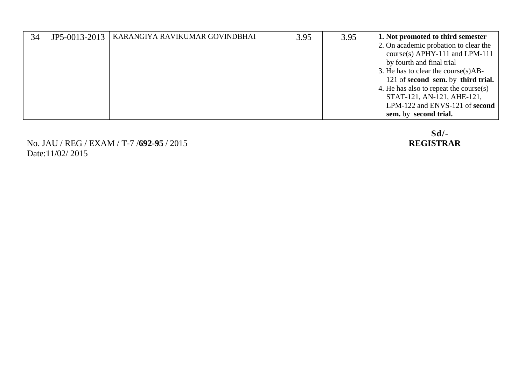| 34 | JP5-0013-2013 | KARANGIYA RAVIKUMAR GOVINDBHAI | 3.95 | 3.95 | 1. Not promoted to third semester       |
|----|---------------|--------------------------------|------|------|-----------------------------------------|
|    |               |                                |      |      | 2. On academic probation to clear the   |
|    |               |                                |      |      | course(s) $APHY-111$ and $LPM-111$      |
|    |               |                                |      |      | by fourth and final trial               |
|    |               |                                |      |      | 3. He has to clear the course $(s)$ AB- |
|    |               |                                |      |      | 121 of second sem. by third trial.      |
|    |               |                                |      |      | 4. He has also to repeat the course(s)  |
|    |               |                                |      |      | STAT-121, AN-121, AHE-121,              |
|    |               |                                |      |      | LPM-122 and ENVS-121 of second          |
|    |               |                                |      |      | sem. by second trial.                   |

No. JAU / REG / EXAM / T-7 /**692-95** / 2015 **REGISTRAR** Date:11/02/ 2015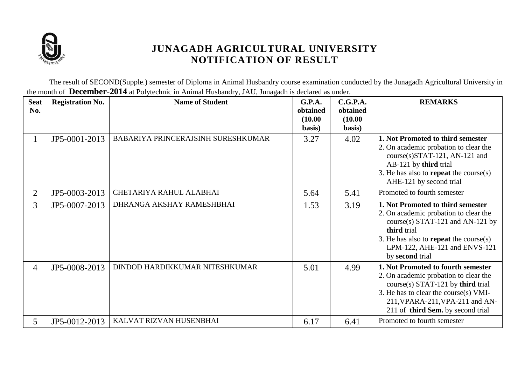

The result of SECOND(Supple.) semester of Diploma in Animal Husbandry course examination conducted by the Junagadh Agricultural University in the month of **December-2014** at Polytechnic in Animal Husbandry, JAU, Junagadh is declared as under.

| <b>Seat</b><br>No. | <b>Registration No.</b> | <b>Name of Student</b>             | G.P.A.<br>obtained<br>(10.00)<br>basis) | C.G.P.A.<br>obtained<br>(10.00)<br>basis) | <b>REMARKS</b>                                                                                                                                                                                                                      |
|--------------------|-------------------------|------------------------------------|-----------------------------------------|-------------------------------------------|-------------------------------------------------------------------------------------------------------------------------------------------------------------------------------------------------------------------------------------|
| $\mathbf{1}$       | JP5-0001-2013           | BABARIYA PRINCERAJSINH SURESHKUMAR | 3.27                                    | 4.02                                      | 1. Not Promoted to third semester<br>2. On academic probation to clear the<br>course(s)STAT-121, AN-121 and<br>AB-121 by third trial<br>3. He has also to <b>repeat</b> the course(s)<br>AHE-121 by second trial                    |
| $\overline{2}$     | JP5-0003-2013           | CHETARIYA RAHUL ALABHAI            | 5.64                                    | 5.41                                      | Promoted to fourth semester                                                                                                                                                                                                         |
| 3                  | JP5-0007-2013           | DHRANGA AKSHAY RAMESHBHAI          | 1.53                                    | 3.19                                      | 1. Not Promoted to third semester<br>2. On academic probation to clear the<br>course(s) STAT-121 and AN-121 by<br>third trial<br>3. He has also to <b>repeat</b> the course(s)<br>LPM-122, AHE-121 and ENVS-121<br>by second trial  |
| 4                  | JP5-0008-2013           | DINDOD HARDIKKUMAR NITESHKUMAR     | 5.01                                    | 4.99                                      | 1. Not Promoted to fourth semester<br>2. On academic probation to clear the<br>$course(s)$ STAT-121 by third trial<br>3. He has to clear the course(s) VMI-<br>211, VPARA-211, VPA-211 and AN-<br>211 of third Sem. by second trial |
| 5                  | JP5-0012-2013           | KALVAT RIZVAN HUSENBHAI            | 6.17                                    | 6.41                                      | Promoted to fourth semester                                                                                                                                                                                                         |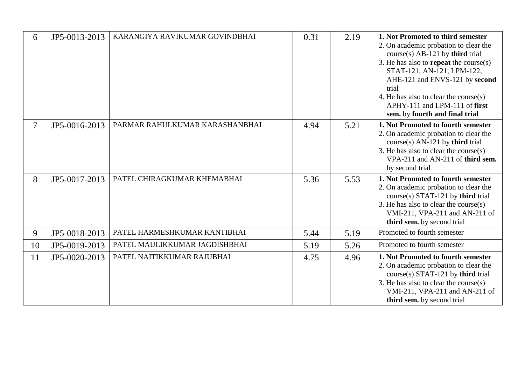| 6      | JP5-0013-2013 | KARANGIYA RAVIKUMAR GOVINDBHAI | 0.31 | 2.19 | 1. Not Promoted to third semester<br>2. On academic probation to clear the<br>$course(s)$ AB-121 by third trial<br>3. He has also to <b>repeat</b> the course(s)<br>STAT-121, AN-121, LPM-122,<br>AHE-121 and ENVS-121 by second<br>trial<br>4. He has also to clear the course(s)<br>APHY-111 and LPM-111 of first<br>sem. by fourth and final trial |
|--------|---------------|--------------------------------|------|------|-------------------------------------------------------------------------------------------------------------------------------------------------------------------------------------------------------------------------------------------------------------------------------------------------------------------------------------------------------|
| $\tau$ | JP5-0016-2013 | PARMAR RAHULKUMAR KARASHANBHAI | 4.94 | 5.21 | 1. Not Promoted to fourth semester<br>2. On academic probation to clear the<br>$course(s)$ AN-121 by third trial<br>3. He has also to clear the course(s)<br>VPA-211 and AN-211 of third sem.<br>by second trial                                                                                                                                      |
| 8      | JP5-0017-2013 | PATEL CHIRAGKUMAR KHEMABHAI    | 5.36 | 5.53 | 1. Not Promoted to fourth semester<br>2. On academic probation to clear the<br>course(s) STAT-121 by third trial<br>3. He has also to clear the course(s)<br>VMI-211, VPA-211 and AN-211 of<br>third sem. by second trial                                                                                                                             |
| 9      | JP5-0018-2013 | PATEL HARMESHKUMAR KANTIBHAI   | 5.44 | 5.19 | Promoted to fourth semester                                                                                                                                                                                                                                                                                                                           |
| 10     | JP5-0019-2013 | PATEL MAULIKKUMAR JAGDISHBHAI  | 5.19 | 5.26 | Promoted to fourth semester                                                                                                                                                                                                                                                                                                                           |
| 11     | JP5-0020-2013 | PATEL NAITIKKUMAR RAJUBHAI     | 4.75 | 4.96 | 1. Not Promoted to fourth semester<br>2. On academic probation to clear the<br>course(s) STAT-121 by third trial<br>3. He has also to clear the course $(s)$<br>VMI-211, VPA-211 and AN-211 of<br>third sem. by second trial                                                                                                                          |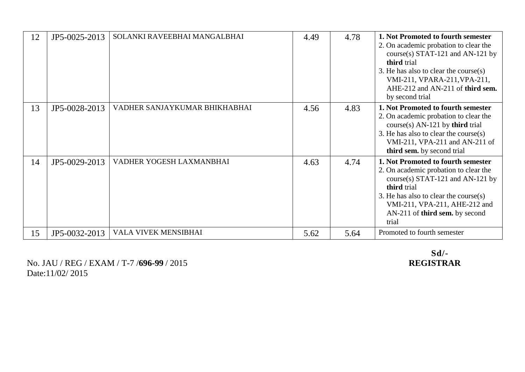| 12 | JP5-0025-2013 | SOLANKI RAVEEBHAI MANGALBHAI  | 4.49 | 4.78 | 1. Not Promoted to fourth semester<br>2. On academic probation to clear the<br>course(s) STAT-121 and AN-121 by<br>third trial<br>3. He has also to clear the course $(s)$<br>VMI-211, VPARA-211, VPA-211,<br>AHE-212 and AN-211 of third sem.<br>by second trial |
|----|---------------|-------------------------------|------|------|-------------------------------------------------------------------------------------------------------------------------------------------------------------------------------------------------------------------------------------------------------------------|
| 13 | JP5-0028-2013 | VADHER SANJAYKUMAR BHIKHABHAI | 4.56 | 4.83 | 1. Not Promoted to fourth semester<br>2. On academic probation to clear the<br>$course(s)$ AN-121 by third trial<br>3. He has also to clear the course $(s)$<br>VMI-211, VPA-211 and AN-211 of<br>third sem. by second trial                                      |
| 14 | JP5-0029-2013 | VADHER YOGESH LAXMANBHAI      | 4.63 | 4.74 | 1. Not Promoted to fourth semester<br>2. On academic probation to clear the<br>course(s) STAT-121 and AN-121 by<br>third trial<br>3. He has also to clear the course $(s)$<br>VMI-211, VPA-211, AHE-212 and<br>AN-211 of third sem. by second<br>trial            |
| 15 | JP5-0032-2013 | VALA VIVEK MENSIBHAI          | 5.62 | 5.64 | Promoted to fourth semester                                                                                                                                                                                                                                       |

No. JAU / REG / EXAM / T-7 / 696-99 / 2015 Date:11/02/ 2015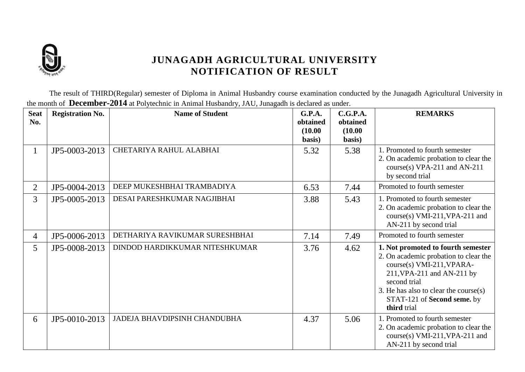

The result of THIRD(Regular) semester of Diploma in Animal Husbandry course examination conducted by the Junagadh Agricultural University in the month of **December-2014** at Polytechnic in Animal Husbandry, JAU, Junagadh is declared as under.

| <b>Seat</b><br>No. | <b>Registration No.</b> | <b>Name of Student</b>         | <b>G.P.A.</b><br>obtained<br>(10.00)<br>basis) | C.G.P.A.<br>obtained<br>(10.00)<br>basis) | <b>REMARKS</b>                                                                                                                                                                                                                                   |
|--------------------|-------------------------|--------------------------------|------------------------------------------------|-------------------------------------------|--------------------------------------------------------------------------------------------------------------------------------------------------------------------------------------------------------------------------------------------------|
| $\perp$            | JP5-0003-2013           | CHETARIYA RAHUL ALABHAI        | 5.32                                           | 5.38                                      | 1. Promoted to fourth semester<br>2. On academic probation to clear the<br>course(s) VPA-211 and AN-211<br>by second trial                                                                                                                       |
| $\overline{2}$     | JP5-0004-2013           | DEEP MUKESHBHAI TRAMBADIYA     | 6.53                                           | 7.44                                      | Promoted to fourth semester                                                                                                                                                                                                                      |
| $\overline{3}$     | JP5-0005-2013           | DESAI PARESHKUMAR NAGJIBHAI    | 3.88                                           | 5.43                                      | 1. Promoted to fourth semester<br>2. On academic probation to clear the<br>course(s) VMI-211, VPA-211 and<br>AN-211 by second trial                                                                                                              |
| 4                  | JP5-0006-2013           | DETHARIYA RAVIKUMAR SURESHBHAI | 7.14                                           | 7.49                                      | Promoted to fourth semester                                                                                                                                                                                                                      |
| 5 <sup>5</sup>     | JP5-0008-2013           | DINDOD HARDIKKUMAR NITESHKUMAR | 3.76                                           | 4.62                                      | 1. Not promoted to fourth semester<br>2. On academic probation to clear the<br>course(s) VMI-211, VPARA-<br>211, VPA-211 and AN-211 by<br>second trial<br>3. He has also to clear the course $(s)$<br>STAT-121 of Second seme. by<br>third trial |
| 6                  | JP5-0010-2013           | JADEJA BHAVDIPSINH CHANDUBHA   | 4.37                                           | 5.06                                      | 1. Promoted to fourth semester<br>2. On academic probation to clear the<br>course(s) VMI-211, VPA-211 and<br>AN-211 by second trial                                                                                                              |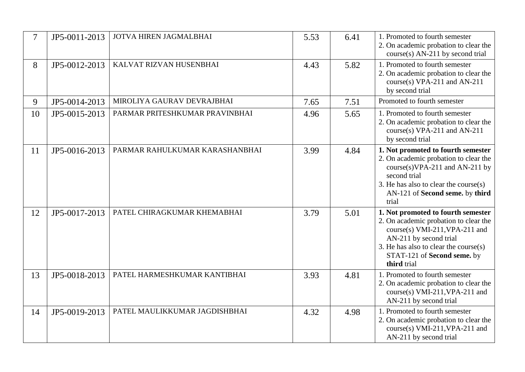| 7  | JP5-0011-2013 | JOTVA HIREN JAGMALBHAI         | 5.53 | 6.41 | 1. Promoted to fourth semester<br>2. On academic probation to clear the<br>course(s) AN-211 by second trial                                                                                                                       |
|----|---------------|--------------------------------|------|------|-----------------------------------------------------------------------------------------------------------------------------------------------------------------------------------------------------------------------------------|
| 8  | JP5-0012-2013 | KALVAT RIZVAN HUSENBHAI        | 4.43 | 5.82 | 1. Promoted to fourth semester<br>2. On academic probation to clear the<br>course(s) VPA-211 and AN-211<br>by second trial                                                                                                        |
| 9  | JP5-0014-2013 | MIROLIYA GAURAV DEVRAJBHAI     | 7.65 | 7.51 | Promoted to fourth semester                                                                                                                                                                                                       |
| 10 | JP5-0015-2013 | PARMAR PRITESHKUMAR PRAVINBHAI | 4.96 | 5.65 | 1. Promoted to fourth semester<br>2. On academic probation to clear the<br>course(s) VPA-211 and AN-211<br>by second trial                                                                                                        |
| 11 | JP5-0016-2013 | PARMAR RAHULKUMAR KARASHANBHAI | 3.99 | 4.84 | 1. Not promoted to fourth semester<br>2. On academic probation to clear the<br>$course(s) VPA-211$ and AN-211 by<br>second trial<br>3. He has also to clear the course(s)<br>AN-121 of Second seme. by third<br>trial             |
| 12 | JP5-0017-2013 | PATEL CHIRAGKUMAR KHEMABHAI    | 3.79 | 5.01 | 1. Not promoted to fourth semester<br>2. On academic probation to clear the<br>course(s) VMI-211, VPA-211 and<br>AN-211 by second trial<br>3. He has also to clear the course $(s)$<br>STAT-121 of Second seme. by<br>third trial |
| 13 | JP5-0018-2013 | PATEL HARMESHKUMAR KANTIBHAI   | 3.93 | 4.81 | 1. Promoted to fourth semester<br>2. On academic probation to clear the<br>course(s) VMI-211, VPA-211 and<br>AN-211 by second trial                                                                                               |
| 14 | JP5-0019-2013 | PATEL MAULIKKUMAR JAGDISHBHAI  | 4.32 | 4.98 | 1. Promoted to fourth semester<br>2. On academic probation to clear the<br>course(s) VMI-211, VPA-211 and<br>AN-211 by second trial                                                                                               |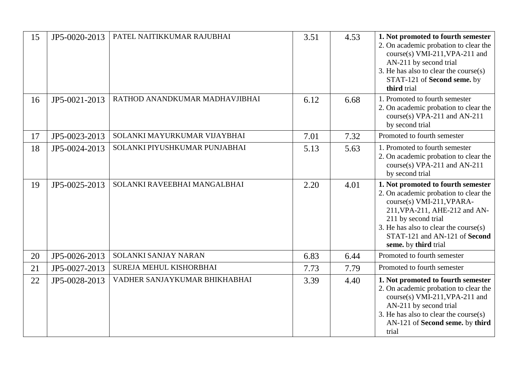| 15 | JP5-0020-2013 | PATEL NAITIKKUMAR RAJUBHAI     | 3.51 | 4.53 | 1. Not promoted to fourth semester<br>2. On academic probation to clear the<br>course(s) VMI-211, VPA-211 and<br>AN-211 by second trial<br>3. He has also to clear the course(s)<br>STAT-121 of Second seme. by<br>third trial                                        |
|----|---------------|--------------------------------|------|------|-----------------------------------------------------------------------------------------------------------------------------------------------------------------------------------------------------------------------------------------------------------------------|
| 16 | JP5-0021-2013 | RATHOD ANANDKUMAR MADHAVJIBHAI | 6.12 | 6.68 | 1. Promoted to fourth semester<br>2. On academic probation to clear the<br>course(s) VPA-211 and AN-211<br>by second trial                                                                                                                                            |
| 17 | JP5-0023-2013 | SOLANKI MAYURKUMAR VIJAYBHAI   | 7.01 | 7.32 | Promoted to fourth semester                                                                                                                                                                                                                                           |
| 18 | JP5-0024-2013 | SOLANKI PIYUSHKUMAR PUNJABHAI  | 5.13 | 5.63 | 1. Promoted to fourth semester<br>2. On academic probation to clear the<br>course(s) VPA-211 and AN-211<br>by second trial                                                                                                                                            |
| 19 | JP5-0025-2013 | SOLANKI RAVEEBHAI MANGALBHAI   | 2.20 | 4.01 | 1. Not promoted to fourth semester<br>2. On academic probation to clear the<br>course(s) VMI-211, VPARA-<br>211, VPA-211, AHE-212 and AN-<br>211 by second trial<br>3. He has also to clear the course $(s)$<br>STAT-121 and AN-121 of Second<br>seme. by third trial |
| 20 | JP5-0026-2013 | SOLANKI SANJAY NARAN           | 6.83 | 6.44 | Promoted to fourth semester                                                                                                                                                                                                                                           |
| 21 | JP5-0027-2013 | SUREJA MEHUL KISHORBHAI        | 7.73 | 7.79 | Promoted to fourth semester                                                                                                                                                                                                                                           |
| 22 | JP5-0028-2013 | VADHER SANJAYKUMAR BHIKHABHAI  | 3.39 | 4.40 | 1. Not promoted to fourth semester<br>2. On academic probation to clear the<br>course(s) VMI-211, VPA-211 and<br>AN-211 by second trial<br>3. He has also to clear the course $(s)$<br>AN-121 of Second seme. by third<br>trial                                       |